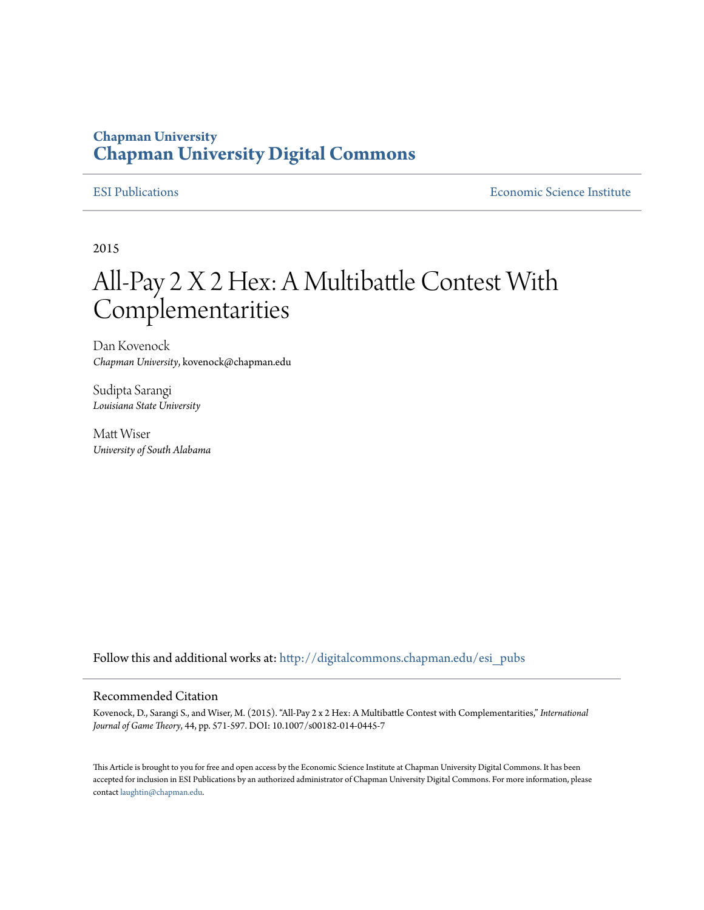# **Chapman University [Chapman University Digital Commons](http://digitalcommons.chapman.edu?utm_source=digitalcommons.chapman.edu%2Fesi_pubs%2F88&utm_medium=PDF&utm_campaign=PDFCoverPages)**

[ESI Publications](http://digitalcommons.chapman.edu/esi_pubs?utm_source=digitalcommons.chapman.edu%2Fesi_pubs%2F88&utm_medium=PDF&utm_campaign=PDFCoverPages) [Economic Science Institute](http://digitalcommons.chapman.edu/esi?utm_source=digitalcommons.chapman.edu%2Fesi_pubs%2F88&utm_medium=PDF&utm_campaign=PDFCoverPages)

2015

# All-Pay 2 X 2 Hex: A Multibattle Contest With Complementarities

Dan Kovenock *Chapman University*, kovenock@chapman.edu

Sudipta Sarangi *Louisiana State University*

Matt Wiser *University of South Alabama*

Follow this and additional works at: [http://digitalcommons.chapman.edu/esi\\_pubs](http://digitalcommons.chapman.edu/esi_pubs?utm_source=digitalcommons.chapman.edu%2Fesi_pubs%2F88&utm_medium=PDF&utm_campaign=PDFCoverPages)

#### Recommended Citation

Kovenock, D., Sarangi S., and Wiser, M. (2015). "All-Pay 2 x 2 Hex: A Multibattle Contest with Complementarities," *International Journal of Game Theory*, 44, pp. 571-597. DOI: 10.1007/s00182-014-0445-7

This Article is brought to you for free and open access by the Economic Science Institute at Chapman University Digital Commons. It has been accepted for inclusion in ESI Publications by an authorized administrator of Chapman University Digital Commons. For more information, please contact [laughtin@chapman.edu](mailto:laughtin@chapman.edu).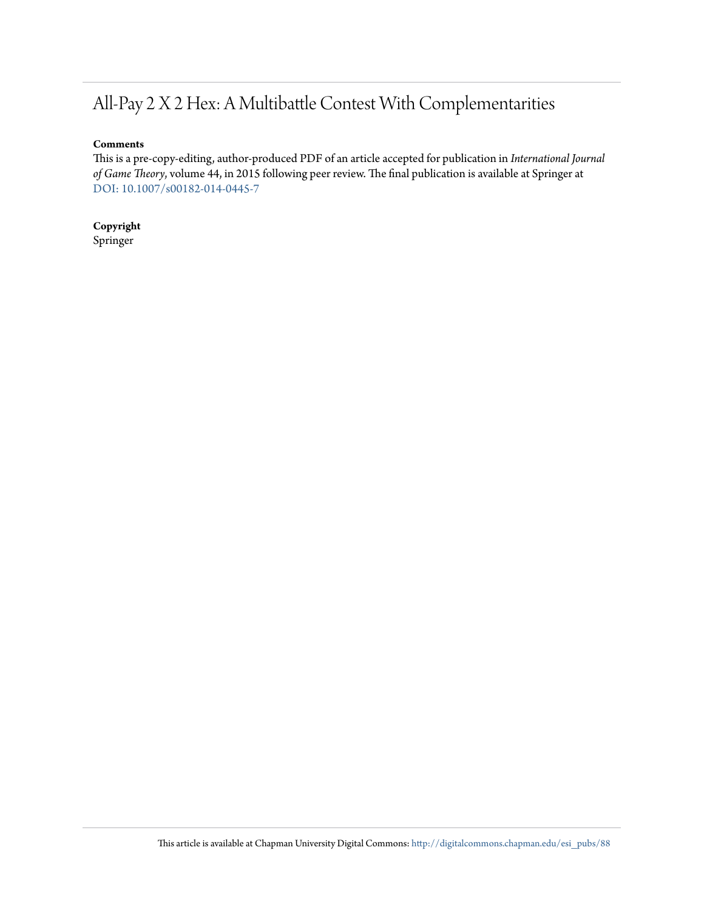# All-Pay 2 X 2 Hex: A Multibattle Contest With Complementarities

#### **Comments**

This is a pre-copy-editing, author-produced PDF of an article accepted for publication in *International Journal of Game Theory*, volume 44, in 2015 following peer review. The final publication is available at Springer at [DOI: 10.1007/s00182-014-0445-7](http://dx.doi.org/10.1007/s00182-014-0445-7)

**Copyright** Springer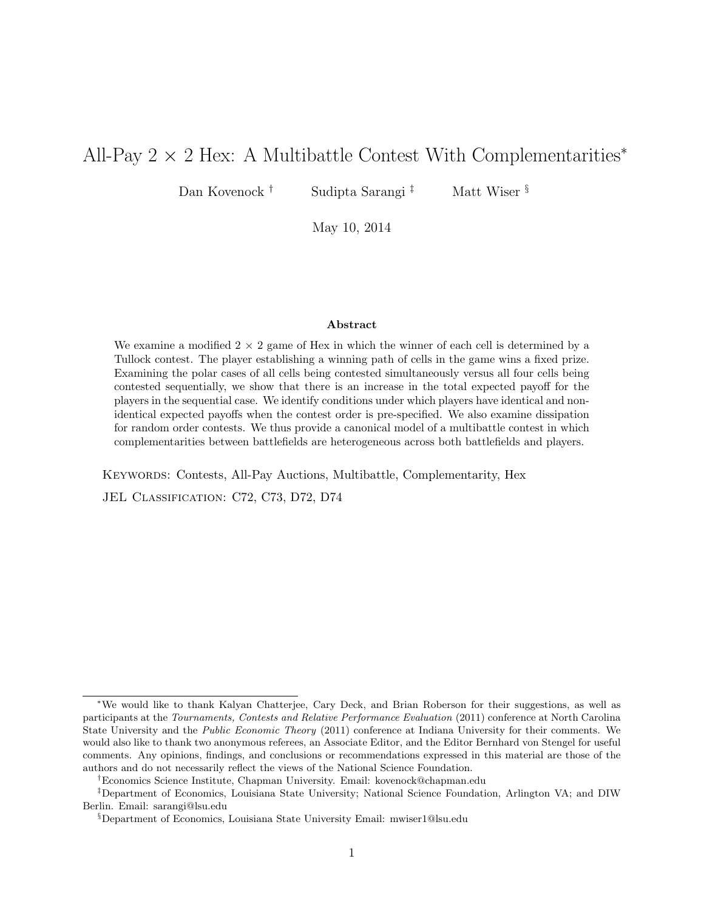# All-Pay 2  $\times$  2 Hex: A Multibattle Contest With Complementarities<sup>\*</sup>

Dan Kovenock <sup>†</sup> Sudipta Sarangi<sup>‡</sup> Matt Wiser §

May 10, 2014

#### Abstract

We examine a modified  $2 \times 2$  game of Hex in which the winner of each cell is determined by a Tullock contest. The player establishing a winning path of cells in the game wins a fixed prize. Examining the polar cases of all cells being contested simultaneously versus all four cells being contested sequentially, we show that there is an increase in the total expected payoff for the players in the sequential case. We identify conditions under which players have identical and nonidentical expected payoffs when the contest order is pre-specified. We also examine dissipation for random order contests. We thus provide a canonical model of a multibattle contest in which complementarities between battlefields are heterogeneous across both battlefields and players.

Keywords: Contests, All-Pay Auctions, Multibattle, Complementarity, Hex

JEL Classification: C72, C73, D72, D74

<sup>∗</sup>We would like to thank Kalyan Chatterjee, Cary Deck, and Brian Roberson for their suggestions, as well as participants at the Tournaments, Contests and Relative Performance Evaluation (2011) conference at North Carolina State University and the Public Economic Theory (2011) conference at Indiana University for their comments. We would also like to thank two anonymous referees, an Associate Editor, and the Editor Bernhard von Stengel for useful comments. Any opinions, findings, and conclusions or recommendations expressed in this material are those of the authors and do not necessarily reflect the views of the National Science Foundation.

<sup>†</sup>Economics Science Institute, Chapman University. Email: kovenock@chapman.edu

<sup>‡</sup>Department of Economics, Louisiana State University; National Science Foundation, Arlington VA; and DIW Berlin. Email: sarangi@lsu.edu

<sup>§</sup>Department of Economics, Louisiana State University Email: mwiser1@lsu.edu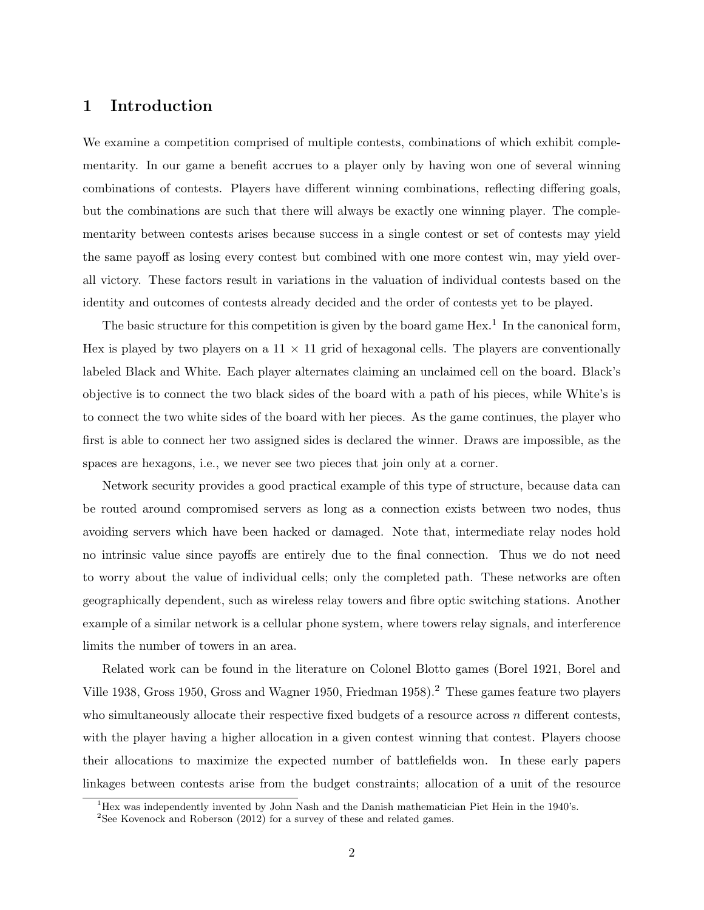# 1 Introduction

We examine a competition comprised of multiple contests, combinations of which exhibit complementarity. In our game a benefit accrues to a player only by having won one of several winning combinations of contests. Players have different winning combinations, reflecting differing goals, but the combinations are such that there will always be exactly one winning player. The complementarity between contests arises because success in a single contest or set of contests may yield the same payoff as losing every contest but combined with one more contest win, may yield overall victory. These factors result in variations in the valuation of individual contests based on the identity and outcomes of contests already decided and the order of contests yet to be played.

The basic structure for this competition is given by the board game  $Hex.^1$  In the canonical form, Hex is played by two players on a  $11 \times 11$  grid of hexagonal cells. The players are conventionally labeled Black and White. Each player alternates claiming an unclaimed cell on the board. Black's objective is to connect the two black sides of the board with a path of his pieces, while White's is to connect the two white sides of the board with her pieces. As the game continues, the player who first is able to connect her two assigned sides is declared the winner. Draws are impossible, as the spaces are hexagons, i.e., we never see two pieces that join only at a corner.

Network security provides a good practical example of this type of structure, because data can be routed around compromised servers as long as a connection exists between two nodes, thus avoiding servers which have been hacked or damaged. Note that, intermediate relay nodes hold no intrinsic value since payoffs are entirely due to the final connection. Thus we do not need to worry about the value of individual cells; only the completed path. These networks are often geographically dependent, such as wireless relay towers and fibre optic switching stations. Another example of a similar network is a cellular phone system, where towers relay signals, and interference limits the number of towers in an area.

Related work can be found in the literature on Colonel Blotto games (Borel 1921, Borel and Ville 1938, Gross 1950, Gross and Wagner 1950, Friedman 1958).<sup>2</sup> These games feature two players who simultaneously allocate their respective fixed budgets of a resource across  $n$  different contests, with the player having a higher allocation in a given contest winning that contest. Players choose their allocations to maximize the expected number of battlefields won. In these early papers linkages between contests arise from the budget constraints; allocation of a unit of the resource

 $1$ Hex was independently invented by John Nash and the Danish mathematician Piet Hein in the 1940's.

<sup>&</sup>lt;sup>2</sup>See Kovenock and Roberson (2012) for a survey of these and related games.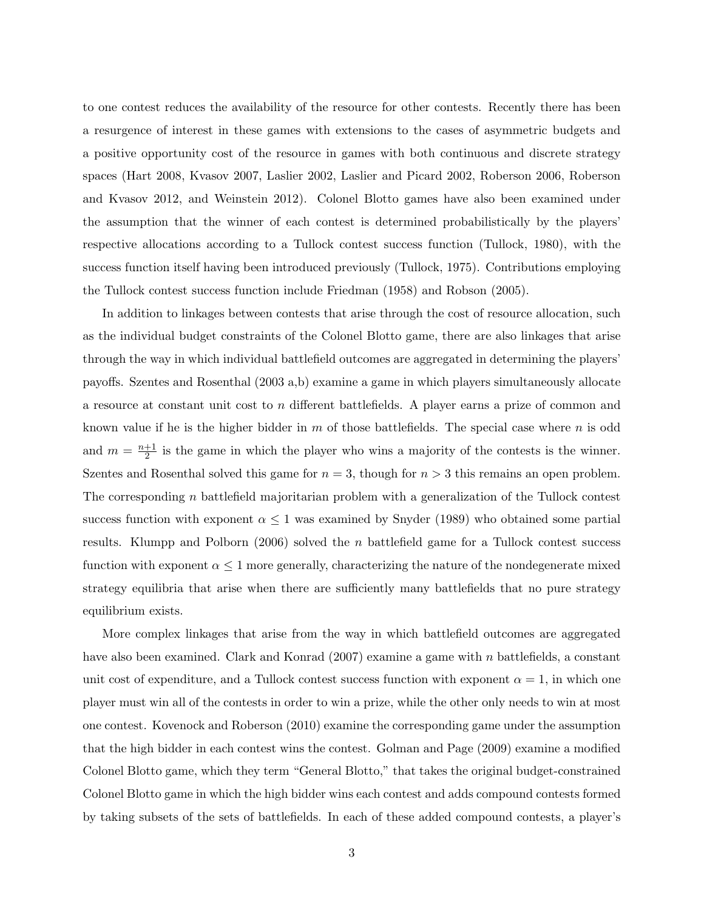to one contest reduces the availability of the resource for other contests. Recently there has been a resurgence of interest in these games with extensions to the cases of asymmetric budgets and a positive opportunity cost of the resource in games with both continuous and discrete strategy spaces (Hart 2008, Kvasov 2007, Laslier 2002, Laslier and Picard 2002, Roberson 2006, Roberson and Kvasov 2012, and Weinstein 2012). Colonel Blotto games have also been examined under the assumption that the winner of each contest is determined probabilistically by the players' respective allocations according to a Tullock contest success function (Tullock, 1980), with the success function itself having been introduced previously (Tullock, 1975). Contributions employing the Tullock contest success function include Friedman (1958) and Robson (2005).

In addition to linkages between contests that arise through the cost of resource allocation, such as the individual budget constraints of the Colonel Blotto game, there are also linkages that arise through the way in which individual battlefield outcomes are aggregated in determining the players' payoffs. Szentes and Rosenthal (2003 a,b) examine a game in which players simultaneously allocate a resource at constant unit cost to n different battlefields. A player earns a prize of common and known value if he is the higher bidder in  $m$  of those battlefields. The special case where  $n$  is odd and  $m = \frac{n+1}{2}$  $\frac{+1}{2}$  is the game in which the player who wins a majority of the contests is the winner. Szentes and Rosenthal solved this game for  $n = 3$ , though for  $n > 3$  this remains an open problem. The corresponding  $n$  battlefield majoritarian problem with a generalization of the Tullock contest success function with exponent  $\alpha \leq 1$  was examined by Snyder (1989) who obtained some partial results. Klumpp and Polborn (2006) solved the n battlefield game for a Tullock contest success function with exponent  $\alpha \leq 1$  more generally, characterizing the nature of the nondegenerate mixed strategy equilibria that arise when there are sufficiently many battlefields that no pure strategy equilibrium exists.

More complex linkages that arise from the way in which battlefield outcomes are aggregated have also been examined. Clark and Konrad (2007) examine a game with n battlefields, a constant unit cost of expenditure, and a Tullock contest success function with exponent  $\alpha = 1$ , in which one player must win all of the contests in order to win a prize, while the other only needs to win at most one contest. Kovenock and Roberson (2010) examine the corresponding game under the assumption that the high bidder in each contest wins the contest. Golman and Page (2009) examine a modified Colonel Blotto game, which they term "General Blotto," that takes the original budget-constrained Colonel Blotto game in which the high bidder wins each contest and adds compound contests formed by taking subsets of the sets of battlefields. In each of these added compound contests, a player's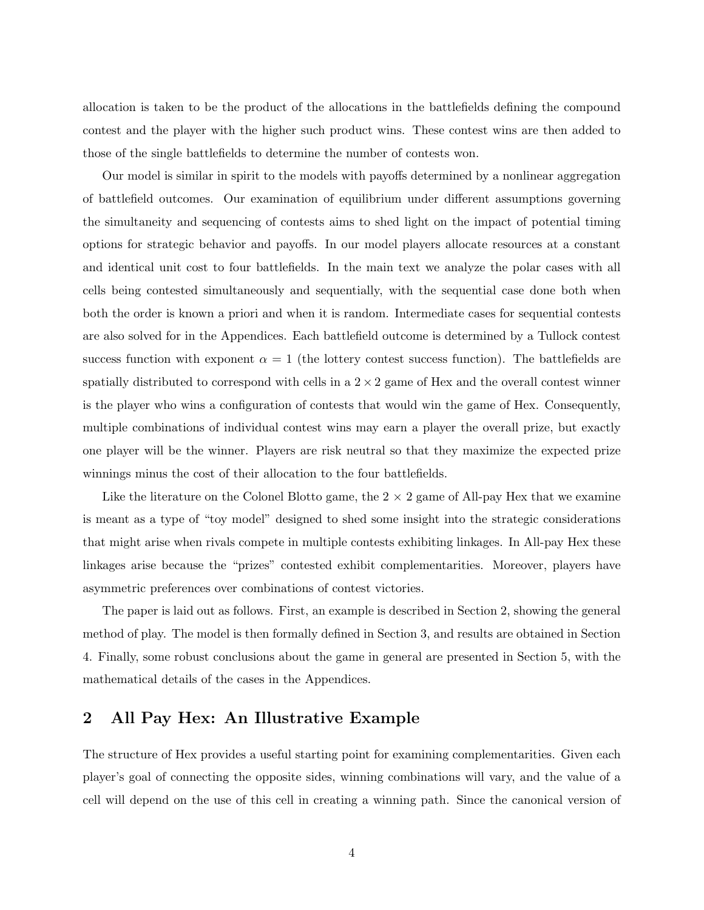allocation is taken to be the product of the allocations in the battlefields defining the compound contest and the player with the higher such product wins. These contest wins are then added to those of the single battlefields to determine the number of contests won.

Our model is similar in spirit to the models with payoffs determined by a nonlinear aggregation of battlefield outcomes. Our examination of equilibrium under different assumptions governing the simultaneity and sequencing of contests aims to shed light on the impact of potential timing options for strategic behavior and payoffs. In our model players allocate resources at a constant and identical unit cost to four battlefields. In the main text we analyze the polar cases with all cells being contested simultaneously and sequentially, with the sequential case done both when both the order is known a priori and when it is random. Intermediate cases for sequential contests are also solved for in the Appendices. Each battlefield outcome is determined by a Tullock contest success function with exponent  $\alpha = 1$  (the lottery contest success function). The battlefields are spatially distributed to correspond with cells in a  $2 \times 2$  game of Hex and the overall contest winner is the player who wins a configuration of contests that would win the game of Hex. Consequently, multiple combinations of individual contest wins may earn a player the overall prize, but exactly one player will be the winner. Players are risk neutral so that they maximize the expected prize winnings minus the cost of their allocation to the four battlefields.

Like the literature on the Colonel Blotto game, the  $2 \times 2$  game of All-pay Hex that we examine is meant as a type of "toy model" designed to shed some insight into the strategic considerations that might arise when rivals compete in multiple contests exhibiting linkages. In All-pay Hex these linkages arise because the "prizes" contested exhibit complementarities. Moreover, players have asymmetric preferences over combinations of contest victories.

The paper is laid out as follows. First, an example is described in Section 2, showing the general method of play. The model is then formally defined in Section 3, and results are obtained in Section 4. Finally, some robust conclusions about the game in general are presented in Section 5, with the mathematical details of the cases in the Appendices.

## 2 All Pay Hex: An Illustrative Example

The structure of Hex provides a useful starting point for examining complementarities. Given each player's goal of connecting the opposite sides, winning combinations will vary, and the value of a cell will depend on the use of this cell in creating a winning path. Since the canonical version of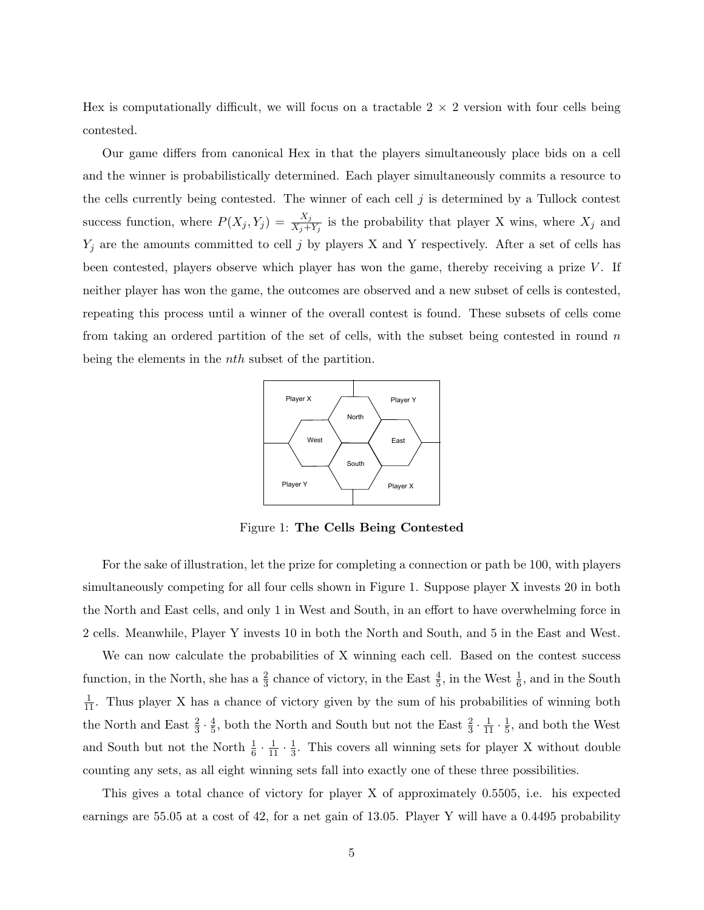Hex is computationally difficult, we will focus on a tractable  $2 \times 2$  version with four cells being contested.

Our game differs from canonical Hex in that the players simultaneously place bids on a cell and the winner is probabilistically determined. Each player simultaneously commits a resource to the cells currently being contested. The winner of each cell  $j$  is determined by a Tullock contest success function, where  $P(X_j, Y_j) = \frac{X_j}{X_j + Y_j}$  is the probability that player X wins, where  $X_j$  and  $Y_j$  are the amounts committed to cell j by players X and Y respectively. After a set of cells has been contested, players observe which player has won the game, thereby receiving a prize  $V$ . If neither player has won the game, the outcomes are observed and a new subset of cells is contested, repeating this process until a winner of the overall contest is found. These subsets of cells come from taking an ordered partition of the set of cells, with the subset being contested in round  $n$ being the elements in the nth subset of the partition.



Figure 1: The Cells Being Contested

For the sake of illustration, let the prize for completing a connection or path be 100, with players simultaneously competing for all four cells shown in Figure 1. Suppose player X invests 20 in both the North and East cells, and only 1 in West and South, in an effort to have overwhelming force in 2 cells. Meanwhile, Player Y invests 10 in both the North and South, and 5 in the East and West.

We can now calculate the probabilities of X winning each cell. Based on the contest success function, in the North, she has a  $\frac{2}{3}$  chance of victory, in the East  $\frac{4}{5}$ , in the West  $\frac{1}{6}$ , and in the South  $\frac{1}{11}$ . Thus player X has a chance of victory given by the sum of his probabilities of winning both the North and East  $\frac{2}{3} \cdot \frac{4}{5}$  $\frac{4}{5}$ , both the North and South but not the East  $\frac{2}{3} \cdot \frac{1}{11} \cdot \frac{1}{5}$  $\frac{1}{5}$ , and both the West and South but not the North  $\frac{1}{6} \cdot \frac{1}{11} \cdot \frac{1}{3}$  $\frac{1}{3}$ . This covers all winning sets for player X without double counting any sets, as all eight winning sets fall into exactly one of these three possibilities.

This gives a total chance of victory for player X of approximately 0.5505, i.e. his expected earnings are 55.05 at a cost of 42, for a net gain of 13.05. Player Y will have a 0.4495 probability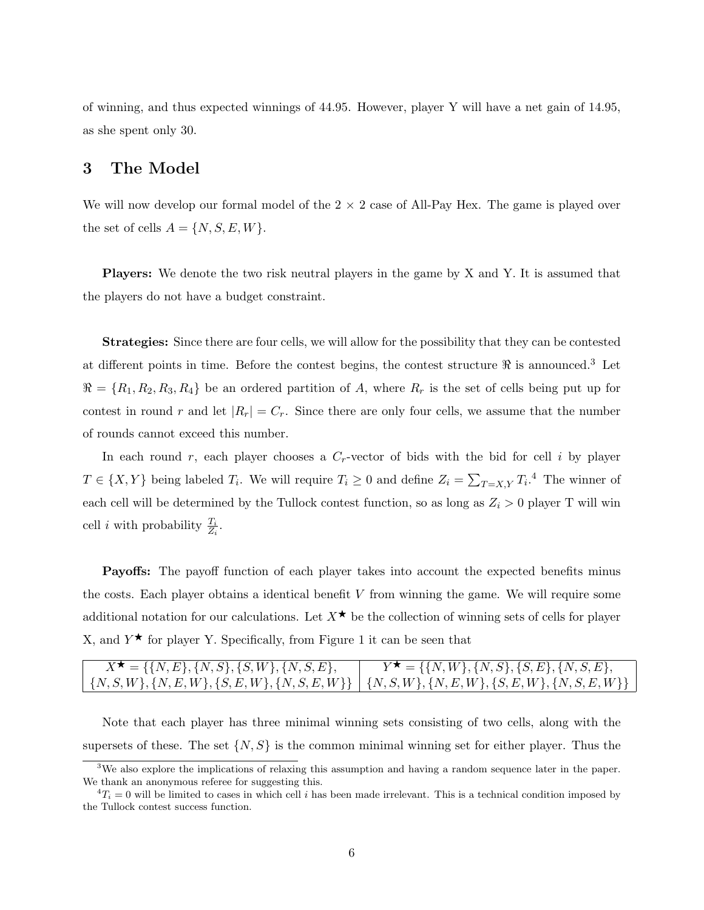of winning, and thus expected winnings of 44.95. However, player Y will have a net gain of 14.95, as she spent only 30.

## 3 The Model

We will now develop our formal model of the  $2 \times 2$  case of All-Pay Hex. The game is played over the set of cells  $A = \{N, S, E, W\}.$ 

Players: We denote the two risk neutral players in the game by X and Y. It is assumed that the players do not have a budget constraint.

Strategies: Since there are four cells, we will allow for the possibility that they can be contested at different points in time. Before the contest begins, the contest structure  $\Re$  is announced.<sup>3</sup> Let  $\mathcal{R} = \{R_1, R_2, R_3, R_4\}$  be an ordered partition of A, where  $R_r$  is the set of cells being put up for contest in round r and let  $|R_r| = C_r$ . Since there are only four cells, we assume that the number of rounds cannot exceed this number.

In each round r, each player chooses a  $C_r$ -vector of bids with the bid for cell i by player  $T \in \{X, Y\}$  being labeled  $T_i$ . We will require  $T_i \geq 0$  and define  $Z_i = \sum_{T=X,Y} T_i$ .<sup>4</sup> The winner of each cell will be determined by the Tullock contest function, so as long as  $Z_i > 0$  player T will win cell *i* with probability  $\frac{T_i}{Z_i}$ .

Payoffs: The payoff function of each player takes into account the expected benefits minus the costs. Each player obtains a identical benefit  $V$  from winning the game. We will require some additional notation for our calculations. Let  $X^{\star}$  be the collection of winning sets of cells for player X, and  $Y^{\star}$  for player Y. Specifically, from Figure 1 it can be seen that

| $X^{\star} = \{\{N, E\}, \{N, S\}, \{S, W\}, \{N, S, E\},\$                                                          | $Y^{\star} = \{\{N,W\}, \{N,S\}, \{S,E\}, \{N,S,E\},\}$ |
|----------------------------------------------------------------------------------------------------------------------|---------------------------------------------------------|
| $\{N, S, W\}, \{N, E, W\}, \{S, E, W\}, \{N, S, E, W\}\}\$ $\{N, S, W\}, \{N, E, W\}, \{S, E, W\}, \{N, S, E, W\}\}$ |                                                         |

Note that each player has three minimal winning sets consisting of two cells, along with the supersets of these. The set  $\{N, S\}$  is the common minimal winning set for either player. Thus the

<sup>&</sup>lt;sup>3</sup>We also explore the implications of relaxing this assumption and having a random sequence later in the paper. We thank an anonymous referee for suggesting this.

 ${}^{4}T_{i} = 0$  will be limited to cases in which cell i has been made irrelevant. This is a technical condition imposed by the Tullock contest success function.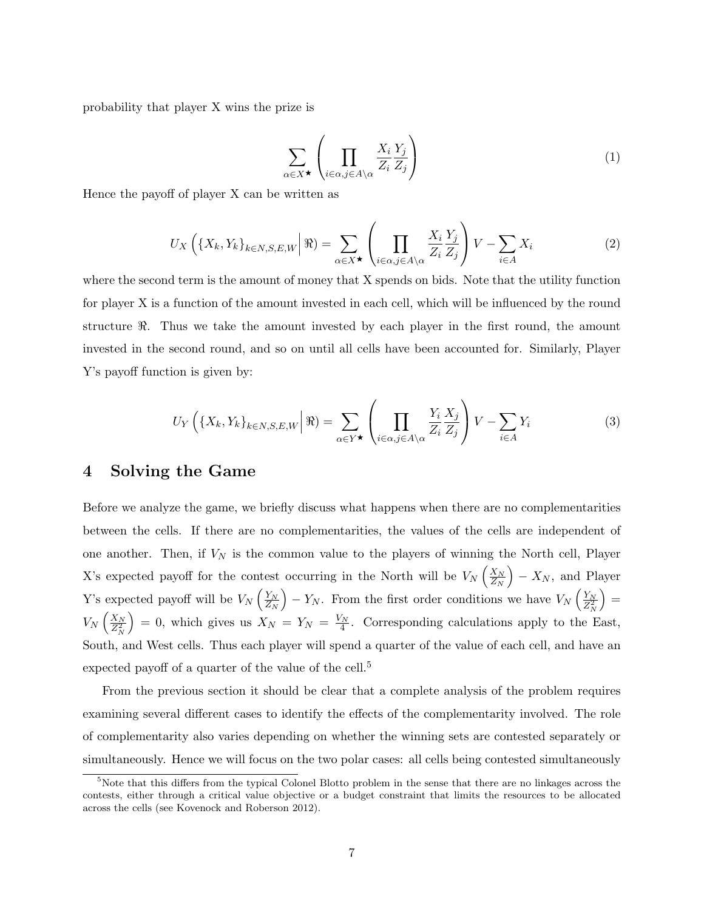probability that player X wins the prize is

$$
\sum_{\alpha \in X^{\star}} \left( \prod_{i \in \alpha, j \in A \setminus \alpha} \frac{X_i}{Z_i} \frac{Y_j}{Z_j} \right) \tag{1}
$$

Hence the payoff of player X can be written as

$$
U_X\left(\left\{X_k, Y_k\right\}_{k\in N, S, E, W}\middle|\mathfrak{R}\right) = \sum_{\alpha \in X^\bigstar} \left(\prod_{i \in \alpha, j \in A \setminus \alpha} \frac{X_i}{Z_i} \frac{Y_j}{Z_j}\right) V - \sum_{i \in A} X_i \tag{2}
$$

where the second term is the amount of money that X spends on bids. Note that the utility function for player X is a function of the amount invested in each cell, which will be influenced by the round structure  $\Re$ . Thus we take the amount invested by each player in the first round, the amount invested in the second round, and so on until all cells have been accounted for. Similarly, Player Y's payoff function is given by:

$$
U_Y\left(\{X_k,Y_k\}_{k\in N,S,E,W}\middle|\mathfrak{R}\right)=\sum_{\alpha\in Y^\star}\left(\prod_{i\in\alpha,j\in A\setminus\alpha}\frac{Y_i}{Z_i}\frac{X_j}{Z_j}\right)V-\sum_{i\in A}Y_i\tag{3}
$$

### 4 Solving the Game

Before we analyze the game, we briefly discuss what happens when there are no complementarities between the cells. If there are no complementarities, the values of the cells are independent of one another. Then, if  $V_N$  is the common value to the players of winning the North cell, Player X's expected payoff for the contest occurring in the North will be  $V_N\left(\frac{X_N}{Z_N}\right)$  $\overline{Z_N}$  $- X_N$ , and Player Y's expected payoff will be  $V_N\left(\frac{Y_N}{Z_N}\right)$  $\overline{Z_N}$  $\bigg(-Y_N$ . From the first order conditions we have  $V_N\left(\frac{Y_N}{Z^2}\right)$  $\overline{Z_N^2}$  $=$  $V_N\left(\frac{X_N}{Z^2}\right)$  $\overline{Z_N^2}$  $= 0$ , which gives us  $X_N = Y_N = \frac{V_N}{4}$ . Corresponding calculations apply to the East, South, and West cells. Thus each player will spend a quarter of the value of each cell, and have an expected payoff of a quarter of the value of the cell.<sup>5</sup>

From the previous section it should be clear that a complete analysis of the problem requires examining several different cases to identify the effects of the complementarity involved. The role of complementarity also varies depending on whether the winning sets are contested separately or simultaneously. Hence we will focus on the two polar cases: all cells being contested simultaneously

 $5$ Note that this differs from the typical Colonel Blotto problem in the sense that there are no linkages across the contests, either through a critical value objective or a budget constraint that limits the resources to be allocated across the cells (see Kovenock and Roberson 2012).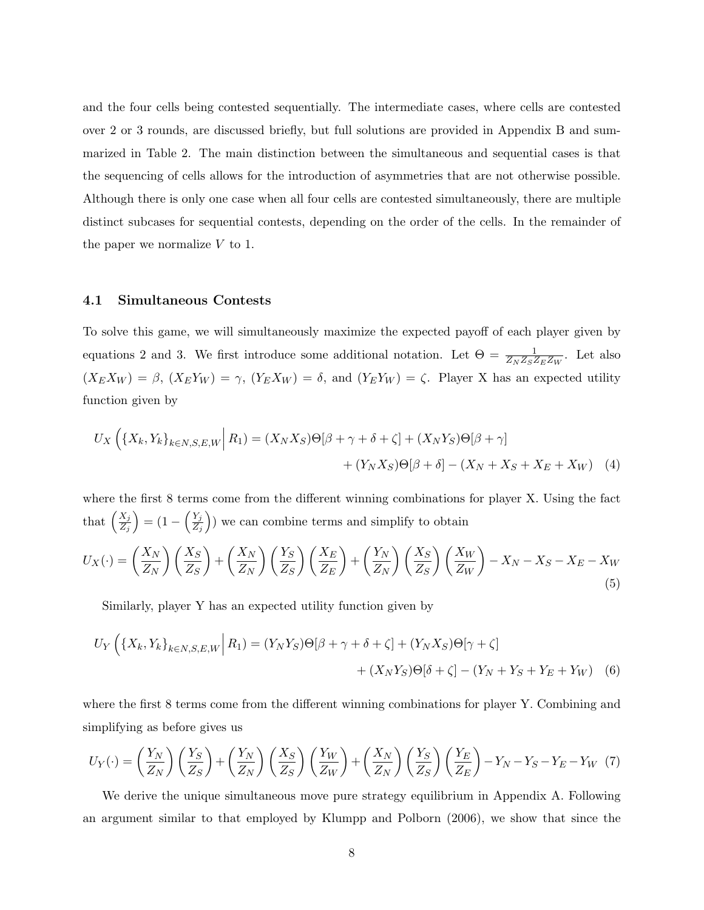and the four cells being contested sequentially. The intermediate cases, where cells are contested over 2 or 3 rounds, are discussed briefly, but full solutions are provided in Appendix B and summarized in Table 2. The main distinction between the simultaneous and sequential cases is that the sequencing of cells allows for the introduction of asymmetries that are not otherwise possible. Although there is only one case when all four cells are contested simultaneously, there are multiple distinct subcases for sequential contests, depending on the order of the cells. In the remainder of the paper we normalize  $V$  to 1.

#### 4.1 Simultaneous Contests

To solve this game, we will simultaneously maximize the expected payoff of each player given by equations 2 and 3. We first introduce some additional notation. Let  $\Theta = \frac{1}{Z_N Z_S Z_E Z_W}$ . Let also  $(X_E X_W) = \beta$ ,  $(X_E Y_W) = \gamma$ ,  $(Y_E X_W) = \delta$ , and  $(Y_E Y_W) = \zeta$ . Player X has an expected utility function given by

$$
U_X \left( \{ X_k, Y_k \}_{k \in N, S, E, W} \middle| R_1 \right) = (X_N X_S) \Theta[\beta + \gamma + \delta + \zeta] + (X_N Y_S) \Theta[\beta + \gamma] + (Y_N X_S) \Theta[\beta + \delta] - (X_N + X_S + X_E + X_W) \tag{4}
$$

where the first 8 terms come from the different winning combinations for player X. Using the fact that  $\left(\frac{X_j}{Z}\right)$  $Z_j$  $= (1 - \left(\frac{Y_j}{Z}\right)$  $Z_j$ ) we can combine terms and simplify to obtain

$$
U_X(\cdot) = \left(\frac{X_N}{Z_N}\right) \left(\frac{X_S}{Z_S}\right) + \left(\frac{X_N}{Z_N}\right) \left(\frac{Y_S}{Z_S}\right) \left(\frac{X_E}{Z_E}\right) + \left(\frac{Y_N}{Z_N}\right) \left(\frac{X_S}{Z_S}\right) \left(\frac{X_W}{Z_W}\right) - X_N - X_S - X_E - X_W\tag{5}
$$

Similarly, player Y has an expected utility function given by

$$
U_{Y}\left(\{X_{k}, Y_{k}\}_{k\in N, S, E, W}\Big| R_{1}\right) = (Y_{N}Y_{S})\Theta[\beta + \gamma + \delta + \zeta] + (Y_{N}X_{S})\Theta[\gamma + \zeta] + (X_{N}Y_{S})\Theta[\delta + \zeta] - (Y_{N} + Y_{S} + Y_{E} + Y_{W})
$$
(6)

where the first 8 terms come from the different winning combinations for player Y. Combining and simplifying as before gives us

$$
U_Y(\cdot) = \left(\frac{Y_N}{Z_N}\right) \left(\frac{Y_S}{Z_S}\right) + \left(\frac{Y_N}{Z_N}\right) \left(\frac{X_S}{Z_S}\right) \left(\frac{Y_W}{Z_W}\right) + \left(\frac{X_N}{Z_N}\right) \left(\frac{Y_S}{Z_S}\right) \left(\frac{Y_E}{Z_E}\right) - Y_N - Y_S - Y_E - Y_W
$$
 (7)

We derive the unique simultaneous move pure strategy equilibrium in Appendix A. Following an argument similar to that employed by Klumpp and Polborn (2006), we show that since the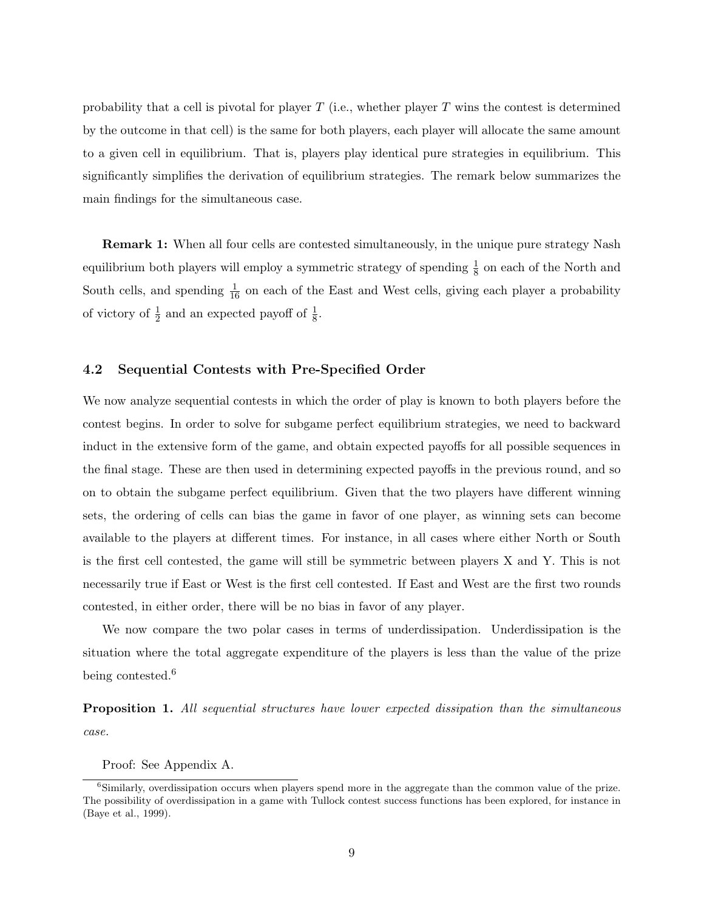probability that a cell is pivotal for player  $T$  (i.e., whether player  $T$  wins the contest is determined by the outcome in that cell) is the same for both players, each player will allocate the same amount to a given cell in equilibrium. That is, players play identical pure strategies in equilibrium. This significantly simplifies the derivation of equilibrium strategies. The remark below summarizes the main findings for the simultaneous case.

Remark 1: When all four cells are contested simultaneously, in the unique pure strategy Nash equilibrium both players will employ a symmetric strategy of spending  $\frac{1}{8}$  on each of the North and South cells, and spending  $\frac{1}{16}$  on each of the East and West cells, giving each player a probability of victory of  $\frac{1}{2}$  and an expected payoff of  $\frac{1}{8}$ .

#### 4.2 Sequential Contests with Pre-Specified Order

We now analyze sequential contests in which the order of play is known to both players before the contest begins. In order to solve for subgame perfect equilibrium strategies, we need to backward induct in the extensive form of the game, and obtain expected payoffs for all possible sequences in the final stage. These are then used in determining expected payoffs in the previous round, and so on to obtain the subgame perfect equilibrium. Given that the two players have different winning sets, the ordering of cells can bias the game in favor of one player, as winning sets can become available to the players at different times. For instance, in all cases where either North or South is the first cell contested, the game will still be symmetric between players X and Y. This is not necessarily true if East or West is the first cell contested. If East and West are the first two rounds contested, in either order, there will be no bias in favor of any player.

We now compare the two polar cases in terms of underdissipation. Underdissipation is the situation where the total aggregate expenditure of the players is less than the value of the prize being contested.<sup>6</sup>

**Proposition 1.** All sequential structures have lower expected dissipation than the simultaneous case.

Proof: See Appendix A.

<sup>&</sup>lt;sup>6</sup>Similarly, overdissipation occurs when players spend more in the aggregate than the common value of the prize. The possibility of overdissipation in a game with Tullock contest success functions has been explored, for instance in (Baye et al., 1999).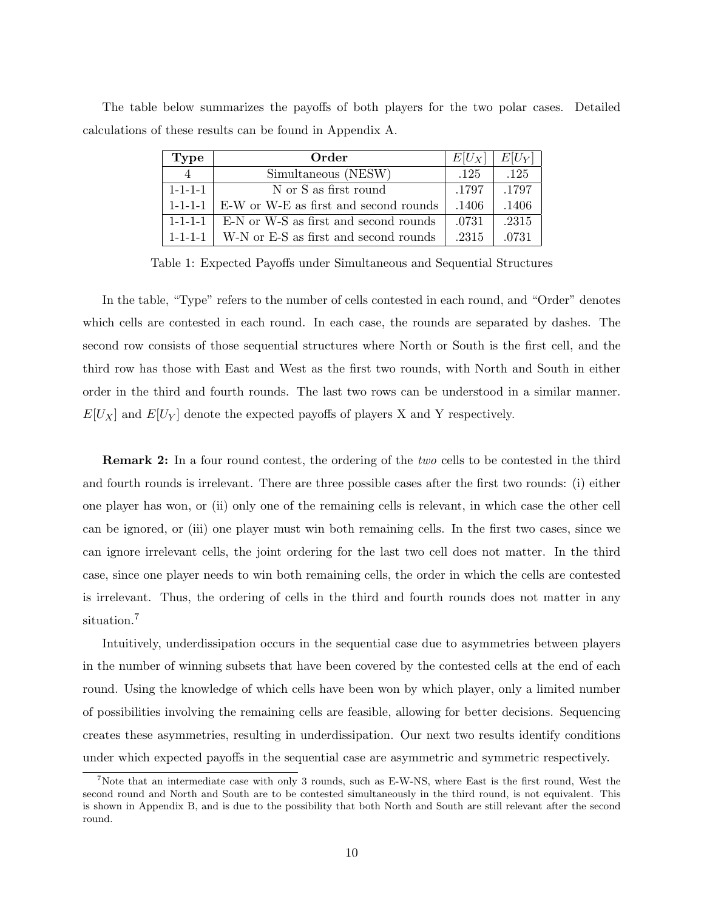The table below summarizes the payoffs of both players for the two polar cases. Detailed calculations of these results can be found in Appendix A.

| <b>Type</b>     | Order                                 | $E[U_X]$ | $E[U_Y]$ |
|-----------------|---------------------------------------|----------|----------|
|                 | Simultaneous (NESW)                   | $-125$   | $-125$   |
| $1 - 1 - 1 - 1$ | N or S as first round                 | .1797    | .1797    |
| $1 - 1 - 1 - 1$ | E-W or W-E as first and second rounds | .1406    | .1406    |
| $1 - 1 - 1 - 1$ | E-N or W-S as first and second rounds | .0731    | .2315    |
| $1 - 1 - 1 - 1$ | W-N or E-S as first and second rounds | .2315    | .0731    |

Table 1: Expected Payoffs under Simultaneous and Sequential Structures

In the table, "Type" refers to the number of cells contested in each round, and "Order" denotes which cells are contested in each round. In each case, the rounds are separated by dashes. The second row consists of those sequential structures where North or South is the first cell, and the third row has those with East and West as the first two rounds, with North and South in either order in the third and fourth rounds. The last two rows can be understood in a similar manner.  $E[U_X]$  and  $E[U_Y]$  denote the expected payoffs of players X and Y respectively.

Remark 2: In a four round contest, the ordering of the two cells to be contested in the third and fourth rounds is irrelevant. There are three possible cases after the first two rounds: (i) either one player has won, or (ii) only one of the remaining cells is relevant, in which case the other cell can be ignored, or (iii) one player must win both remaining cells. In the first two cases, since we can ignore irrelevant cells, the joint ordering for the last two cell does not matter. In the third case, since one player needs to win both remaining cells, the order in which the cells are contested is irrelevant. Thus, the ordering of cells in the third and fourth rounds does not matter in any situation.<sup>7</sup>

Intuitively, underdissipation occurs in the sequential case due to asymmetries between players in the number of winning subsets that have been covered by the contested cells at the end of each round. Using the knowledge of which cells have been won by which player, only a limited number of possibilities involving the remaining cells are feasible, allowing for better decisions. Sequencing creates these asymmetries, resulting in underdissipation. Our next two results identify conditions under which expected payoffs in the sequential case are asymmetric and symmetric respectively.

<sup>7</sup>Note that an intermediate case with only 3 rounds, such as E-W-NS, where East is the first round, West the second round and North and South are to be contested simultaneously in the third round, is not equivalent. This is shown in Appendix B, and is due to the possibility that both North and South are still relevant after the second round.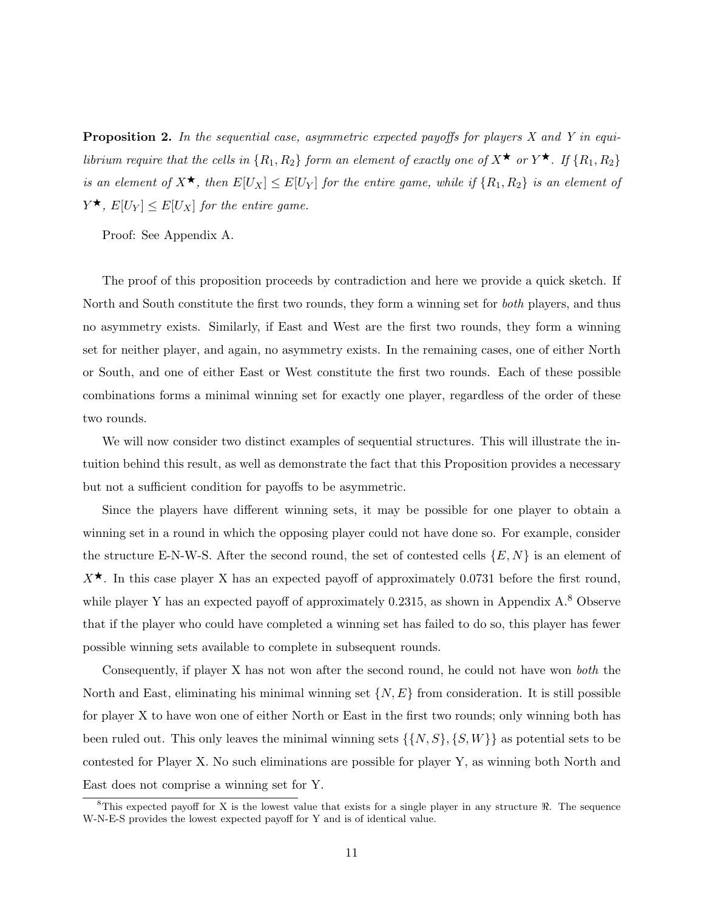**Proposition 2.** In the sequential case, asymmetric expected payoffs for players  $X$  and  $Y$  in equilibrium require that the cells in  $\{R_1, R_2\}$  form an element of exactly one of  $X^{\bigstar}$  or  $Y^{\bigstar}$ . If  $\{R_1, R_2\}$ is an element of  $X^{\star}$ , then  $E[U_X] \leq E[U_Y]$  for the entire game, while if  $\{R_1, R_2\}$  is an element of  $Y^{\star}, E[U_Y] \leq E[U_X]$  for the entire game.

Proof: See Appendix A.

The proof of this proposition proceeds by contradiction and here we provide a quick sketch. If North and South constitute the first two rounds, they form a winning set for both players, and thus no asymmetry exists. Similarly, if East and West are the first two rounds, they form a winning set for neither player, and again, no asymmetry exists. In the remaining cases, one of either North or South, and one of either East or West constitute the first two rounds. Each of these possible combinations forms a minimal winning set for exactly one player, regardless of the order of these two rounds.

We will now consider two distinct examples of sequential structures. This will illustrate the intuition behind this result, as well as demonstrate the fact that this Proposition provides a necessary but not a sufficient condition for payoffs to be asymmetric.

Since the players have different winning sets, it may be possible for one player to obtain a winning set in a round in which the opposing player could not have done so. For example, consider the structure E-N-W-S. After the second round, the set of contested cells  $\{E, N\}$  is an element of  $X^{\star}$ . In this case player X has an expected payoff of approximately 0.0731 before the first round, while player Y has an expected payoff of approximately 0.2315, as shown in Appendix  $A$ .<sup>8</sup> Observe that if the player who could have completed a winning set has failed to do so, this player has fewer possible winning sets available to complete in subsequent rounds.

Consequently, if player X has not won after the second round, he could not have won both the North and East, eliminating his minimal winning set  $\{N, E\}$  from consideration. It is still possible for player X to have won one of either North or East in the first two rounds; only winning both has been ruled out. This only leaves the minimal winning sets  $\{\{N, S\}, \{S, W\}\}$  as potential sets to be contested for Player X. No such eliminations are possible for player Y, as winning both North and East does not comprise a winning set for Y.

<sup>&</sup>lt;sup>8</sup>This expected payoff for X is the lowest value that exists for a single player in any structure  $\Re$ . The sequence W-N-E-S provides the lowest expected payoff for Y and is of identical value.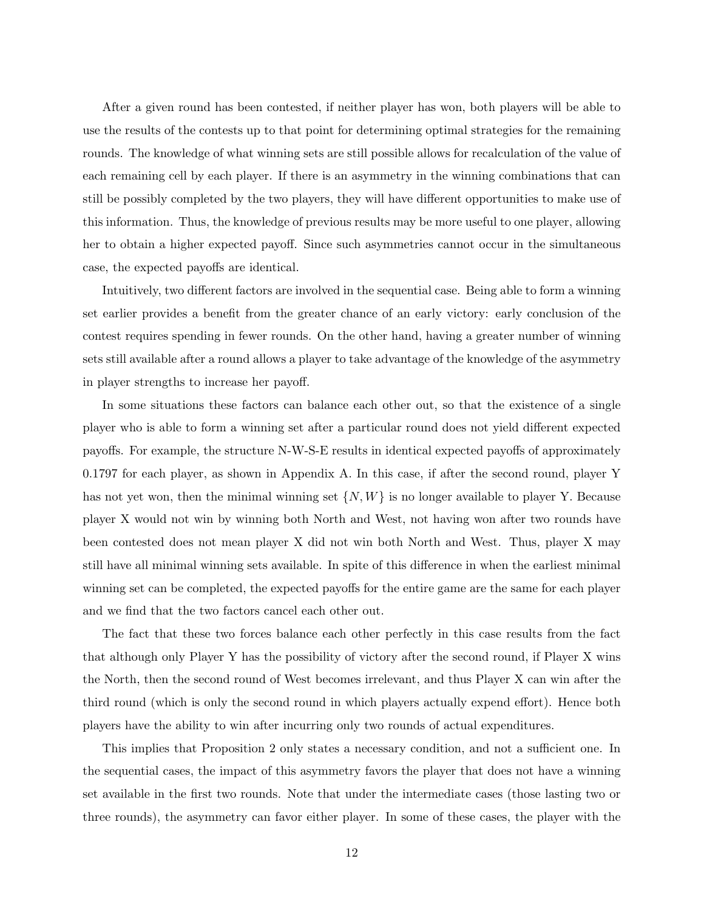After a given round has been contested, if neither player has won, both players will be able to use the results of the contests up to that point for determining optimal strategies for the remaining rounds. The knowledge of what winning sets are still possible allows for recalculation of the value of each remaining cell by each player. If there is an asymmetry in the winning combinations that can still be possibly completed by the two players, they will have different opportunities to make use of this information. Thus, the knowledge of previous results may be more useful to one player, allowing her to obtain a higher expected payoff. Since such asymmetries cannot occur in the simultaneous case, the expected payoffs are identical.

Intuitively, two different factors are involved in the sequential case. Being able to form a winning set earlier provides a benefit from the greater chance of an early victory: early conclusion of the contest requires spending in fewer rounds. On the other hand, having a greater number of winning sets still available after a round allows a player to take advantage of the knowledge of the asymmetry in player strengths to increase her payoff.

In some situations these factors can balance each other out, so that the existence of a single player who is able to form a winning set after a particular round does not yield different expected payoffs. For example, the structure N-W-S-E results in identical expected payoffs of approximately 0.1797 for each player, as shown in Appendix A. In this case, if after the second round, player Y has not yet won, then the minimal winning set  $\{N, W\}$  is no longer available to player Y. Because player X would not win by winning both North and West, not having won after two rounds have been contested does not mean player X did not win both North and West. Thus, player X may still have all minimal winning sets available. In spite of this difference in when the earliest minimal winning set can be completed, the expected payoffs for the entire game are the same for each player and we find that the two factors cancel each other out.

The fact that these two forces balance each other perfectly in this case results from the fact that although only Player Y has the possibility of victory after the second round, if Player X wins the North, then the second round of West becomes irrelevant, and thus Player X can win after the third round (which is only the second round in which players actually expend effort). Hence both players have the ability to win after incurring only two rounds of actual expenditures.

This implies that Proposition 2 only states a necessary condition, and not a sufficient one. In the sequential cases, the impact of this asymmetry favors the player that does not have a winning set available in the first two rounds. Note that under the intermediate cases (those lasting two or three rounds), the asymmetry can favor either player. In some of these cases, the player with the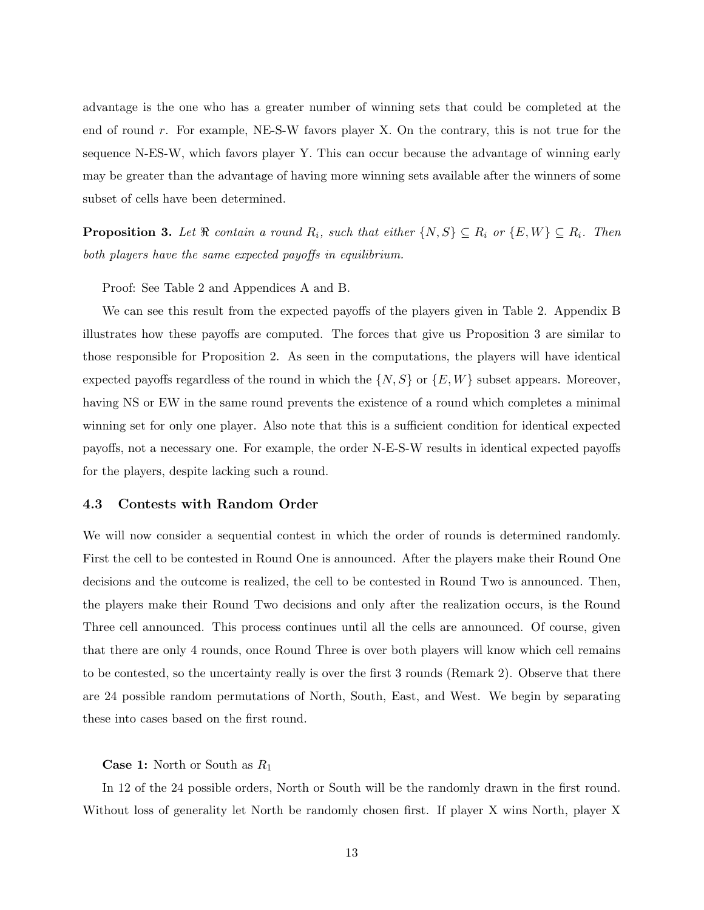advantage is the one who has a greater number of winning sets that could be completed at the end of round r. For example, NE-S-W favors player X. On the contrary, this is not true for the sequence N-ES-W, which favors player Y. This can occur because the advantage of winning early may be greater than the advantage of having more winning sets available after the winners of some subset of cells have been determined.

**Proposition 3.** Let  $\Re$  contain a round  $R_i$ , such that either  $\{N, S\} \subseteq R_i$  or  $\{E, W\} \subseteq R_i$ . Then both players have the same expected payoffs in equilibrium.

Proof: See Table 2 and Appendices A and B.

We can see this result from the expected payoffs of the players given in Table 2. Appendix B illustrates how these payoffs are computed. The forces that give us Proposition 3 are similar to those responsible for Proposition 2. As seen in the computations, the players will have identical expected payoffs regardless of the round in which the  $\{N, S\}$  or  $\{E, W\}$  subset appears. Moreover, having NS or EW in the same round prevents the existence of a round which completes a minimal winning set for only one player. Also note that this is a sufficient condition for identical expected payoffs, not a necessary one. For example, the order N-E-S-W results in identical expected payoffs for the players, despite lacking such a round.

#### 4.3 Contests with Random Order

We will now consider a sequential contest in which the order of rounds is determined randomly. First the cell to be contested in Round One is announced. After the players make their Round One decisions and the outcome is realized, the cell to be contested in Round Two is announced. Then, the players make their Round Two decisions and only after the realization occurs, is the Round Three cell announced. This process continues until all the cells are announced. Of course, given that there are only 4 rounds, once Round Three is over both players will know which cell remains to be contested, so the uncertainty really is over the first 3 rounds (Remark 2). Observe that there are 24 possible random permutations of North, South, East, and West. We begin by separating these into cases based on the first round.

#### **Case 1:** North or South as  $R_1$

In 12 of the 24 possible orders, North or South will be the randomly drawn in the first round. Without loss of generality let North be randomly chosen first. If player X wins North, player X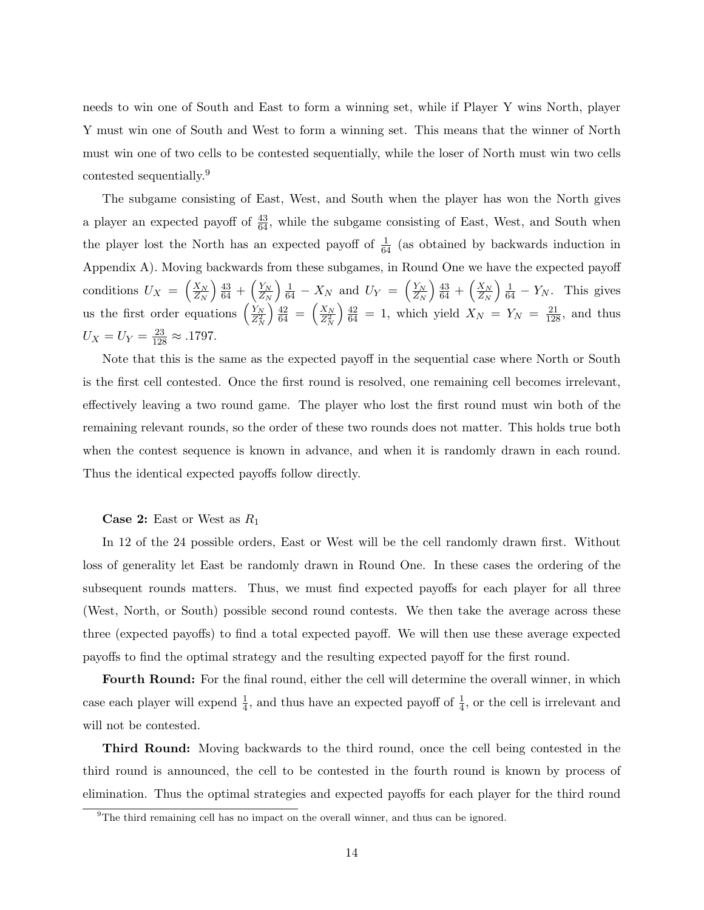needs to win one of South and East to form a winning set, while if Player Y wins North, player Y must win one of South and West to form a winning set. This means that the winner of North must win one of two cells to be contested sequentially, while the loser of North must win two cells contested sequentially.<sup>9</sup>

The subgame consisting of East, West, and South when the player has won the North gives a player an expected payoff of  $\frac{43}{64}$ , while the subgame consisting of East, West, and South when the player lost the North has an expected payoff of  $\frac{1}{64}$  (as obtained by backwards induction in Appendix A). Moving backwards from these subgames, in Round One we have the expected payoff conditions  $U_X = \left(\frac{X_N}{Z_N}\right)$  $\overline{Z_N}$  $\Big)\frac{43}{64}+\Big(\frac{Y_N}{Z_N}$  $\overline{Z_N}$  $\Big\} \frac{1}{64} - X_N$  and  $U_Y = \Big(\frac{Y_N}{Z_N}\Big)$  $\overline{Z_N}$  $\Big)\frac{43}{64}+\Big(\frac{X_N}{Z_N}$  $\overline{Z_N}$  $\frac{1}{64} - Y_N$ . This gives us the first order equations  $\left(\frac{Y_N}{Z^2}\right)$  $Z_N^2$  $\Big)\,\frac{42}{64}\,=\,\Big(\frac{X_N}{Z_N^2}$  $Z_N^2$  $\frac{42}{64}$  = 1, which yield  $X_N = Y_N = \frac{21}{128}$ , and thus  $U_X = U_Y = \frac{23}{128} \approx .1797.$ 

Note that this is the same as the expected payoff in the sequential case where North or South is the first cell contested. Once the first round is resolved, one remaining cell becomes irrelevant, effectively leaving a two round game. The player who lost the first round must win both of the remaining relevant rounds, so the order of these two rounds does not matter. This holds true both when the contest sequence is known in advance, and when it is randomly drawn in each round. Thus the identical expected payoffs follow directly.

#### **Case 2:** East or West as  $R_1$

In 12 of the 24 possible orders, East or West will be the cell randomly drawn first. Without loss of generality let East be randomly drawn in Round One. In these cases the ordering of the subsequent rounds matters. Thus, we must find expected payoffs for each player for all three (West, North, or South) possible second round contests. We then take the average across these three (expected payoffs) to find a total expected payoff. We will then use these average expected payoffs to find the optimal strategy and the resulting expected payoff for the first round.

Fourth Round: For the final round, either the cell will determine the overall winner, in which case each player will expend  $\frac{1}{4}$ , and thus have an expected payoff of  $\frac{1}{4}$ , or the cell is irrelevant and will not be contested.

Third Round: Moving backwards to the third round, once the cell being contested in the third round is announced, the cell to be contested in the fourth round is known by process of elimination. Thus the optimal strategies and expected payoffs for each player for the third round

 $9^9$ The third remaining cell has no impact on the overall winner, and thus can be ignored.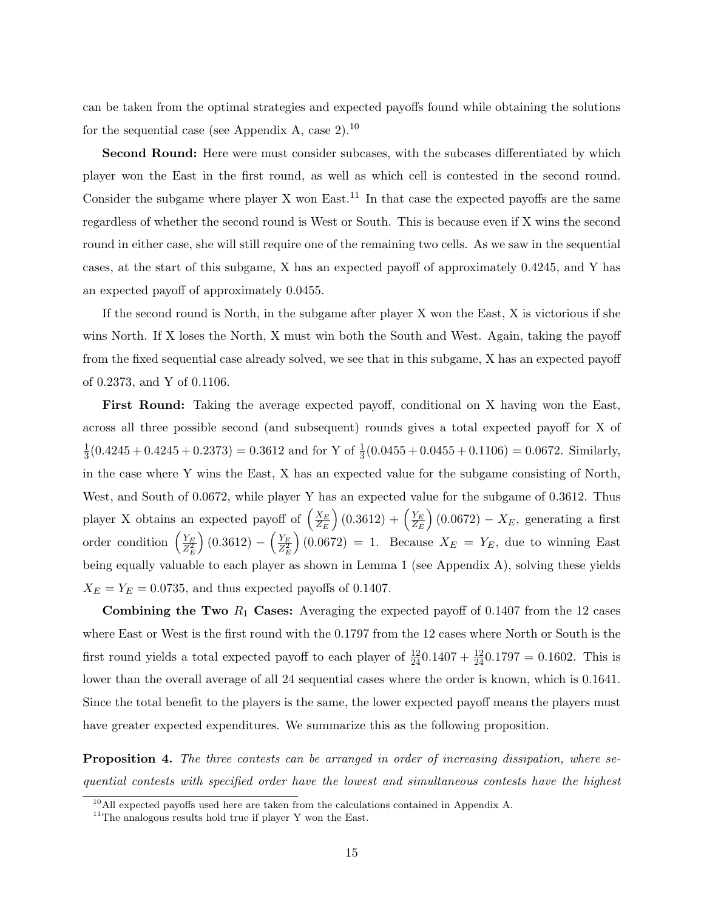can be taken from the optimal strategies and expected payoffs found while obtaining the solutions for the sequential case (see Appendix A, case 2).<sup>10</sup>

Second Round: Here were must consider subcases, with the subcases differentiated by which player won the East in the first round, as well as which cell is contested in the second round. Consider the subgame where player X won East.<sup>11</sup> In that case the expected payoffs are the same regardless of whether the second round is West or South. This is because even if X wins the second round in either case, she will still require one of the remaining two cells. As we saw in the sequential cases, at the start of this subgame, X has an expected payoff of approximately 0.4245, and Y has an expected payoff of approximately 0.0455.

If the second round is North, in the subgame after player X won the East, X is victorious if she wins North. If X loses the North, X must win both the South and West. Again, taking the payoff from the fixed sequential case already solved, we see that in this subgame, X has an expected payoff of 0.2373, and Y of 0.1106.

First Round: Taking the average expected payoff, conditional on X having won the East, across all three possible second (and subsequent) rounds gives a total expected payoff for X of 1  $\frac{1}{3}(0.4245 + 0.4245 + 0.2373) = 0.3612$  and for Y of  $\frac{1}{3}(0.0455 + 0.0455 + 0.1106) = 0.0672$ . Similarly, in the case where Y wins the East, X has an expected value for the subgame consisting of North, West, and South of 0.0672, while player Y has an expected value for the subgame of 0.3612. Thus player X obtains an expected payoff of  $\left(\frac{X_E}{Z_E}\right)$  $Z_E$  $(0.3612) + (\frac{Y_E}{Z_E})$  $Z_E$  $(0.0672) - X_E$ , generating a first order condition  $\left(\frac{Y_E}{Z^2}\right)$  $\overline{Z_E^2}$  $(0.3612) - (\frac{Y_E}{Z^2})$  $\overline{Z_E^2}$  $(0.0672) = 1$ . Because  $X_E = Y_E$ , due to winning East being equally valuable to each player as shown in Lemma 1 (see Appendix A), solving these yields  $X_E = Y_E = 0.0735$ , and thus expected payoffs of 0.1407.

**Combining the Two**  $R_1$  **Cases:** Averaging the expected payoff of 0.1407 from the 12 cases where East or West is the first round with the 0.1797 from the 12 cases where North or South is the first round yields a total expected payoff to each player of  $\frac{12}{24}0.1407 + \frac{12}{24}0.1797 = 0.1602$ . This is lower than the overall average of all 24 sequential cases where the order is known, which is 0.1641. Since the total benefit to the players is the same, the lower expected payoff means the players must have greater expected expenditures. We summarize this as the following proposition.

**Proposition 4.** The three contests can be arranged in order of increasing dissipation, where sequential contests with specified order have the lowest and simultaneous contests have the highest

<sup>&</sup>lt;sup>10</sup>All expected payoffs used here are taken from the calculations contained in Appendix A.

 $^{11}{\rm The}$  analogous results hold true if player Y won the East.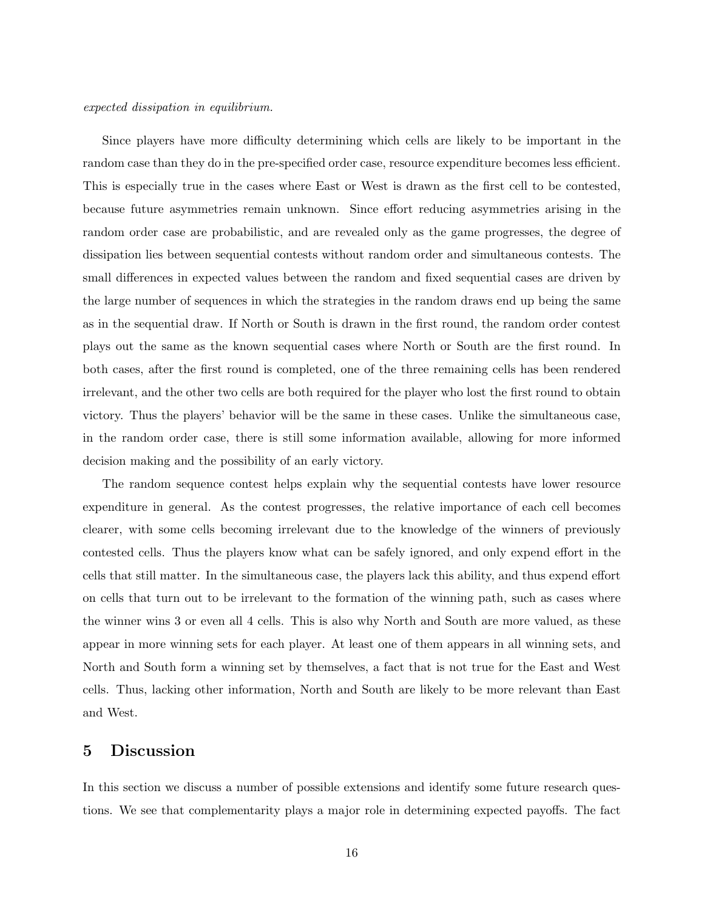expected dissipation in equilibrium.

Since players have more difficulty determining which cells are likely to be important in the random case than they do in the pre-specified order case, resource expenditure becomes less efficient. This is especially true in the cases where East or West is drawn as the first cell to be contested, because future asymmetries remain unknown. Since effort reducing asymmetries arising in the random order case are probabilistic, and are revealed only as the game progresses, the degree of dissipation lies between sequential contests without random order and simultaneous contests. The small differences in expected values between the random and fixed sequential cases are driven by the large number of sequences in which the strategies in the random draws end up being the same as in the sequential draw. If North or South is drawn in the first round, the random order contest plays out the same as the known sequential cases where North or South are the first round. In both cases, after the first round is completed, one of the three remaining cells has been rendered irrelevant, and the other two cells are both required for the player who lost the first round to obtain victory. Thus the players' behavior will be the same in these cases. Unlike the simultaneous case, in the random order case, there is still some information available, allowing for more informed decision making and the possibility of an early victory.

The random sequence contest helps explain why the sequential contests have lower resource expenditure in general. As the contest progresses, the relative importance of each cell becomes clearer, with some cells becoming irrelevant due to the knowledge of the winners of previously contested cells. Thus the players know what can be safely ignored, and only expend effort in the cells that still matter. In the simultaneous case, the players lack this ability, and thus expend effort on cells that turn out to be irrelevant to the formation of the winning path, such as cases where the winner wins 3 or even all 4 cells. This is also why North and South are more valued, as these appear in more winning sets for each player. At least one of them appears in all winning sets, and North and South form a winning set by themselves, a fact that is not true for the East and West cells. Thus, lacking other information, North and South are likely to be more relevant than East and West.

### 5 Discussion

In this section we discuss a number of possible extensions and identify some future research questions. We see that complementarity plays a major role in determining expected payoffs. The fact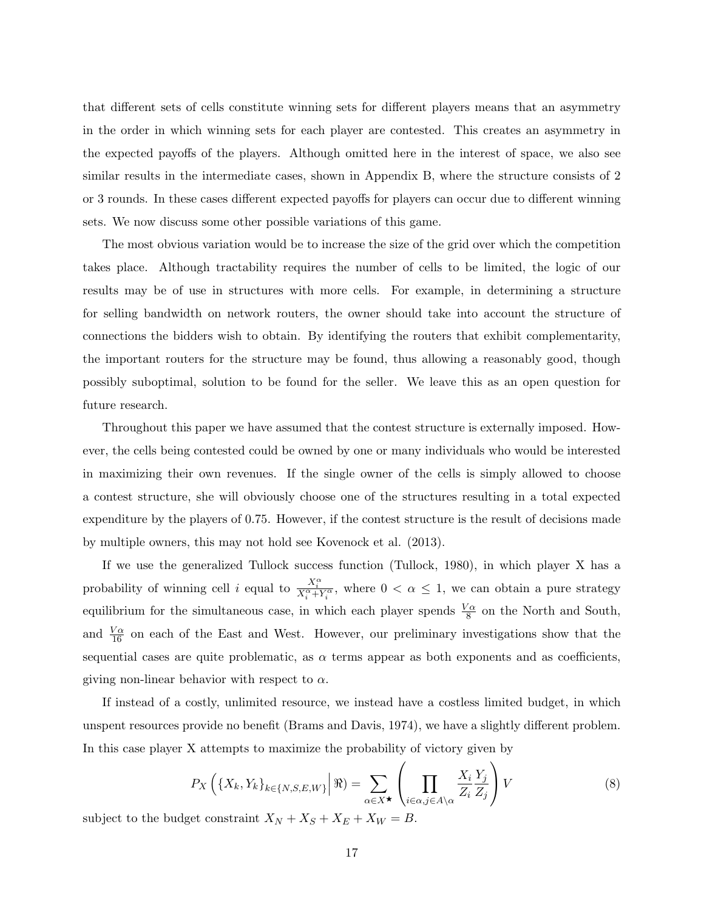that different sets of cells constitute winning sets for different players means that an asymmetry in the order in which winning sets for each player are contested. This creates an asymmetry in the expected payoffs of the players. Although omitted here in the interest of space, we also see similar results in the intermediate cases, shown in Appendix B, where the structure consists of 2 or 3 rounds. In these cases different expected payoffs for players can occur due to different winning sets. We now discuss some other possible variations of this game.

The most obvious variation would be to increase the size of the grid over which the competition takes place. Although tractability requires the number of cells to be limited, the logic of our results may be of use in structures with more cells. For example, in determining a structure for selling bandwidth on network routers, the owner should take into account the structure of connections the bidders wish to obtain. By identifying the routers that exhibit complementarity, the important routers for the structure may be found, thus allowing a reasonably good, though possibly suboptimal, solution to be found for the seller. We leave this as an open question for future research.

Throughout this paper we have assumed that the contest structure is externally imposed. However, the cells being contested could be owned by one or many individuals who would be interested in maximizing their own revenues. If the single owner of the cells is simply allowed to choose a contest structure, she will obviously choose one of the structures resulting in a total expected expenditure by the players of 0.75. However, if the contest structure is the result of decisions made by multiple owners, this may not hold see Kovenock et al. (2013).

If we use the generalized Tullock success function (Tullock, 1980), in which player X has a probability of winning cell *i* equal to  $\frac{X_i^{\alpha}}{X_i^{\alpha}+Y_i^{\alpha}}$ , where  $0 < \alpha \leq 1$ , we can obtain a pure strategy equilibrium for the simultaneous case, in which each player spends  $\frac{V_{\alpha}}{8}$  on the North and South, and  $\frac{V\alpha}{16}$  on each of the East and West. However, our preliminary investigations show that the sequential cases are quite problematic, as  $\alpha$  terms appear as both exponents and as coefficients. giving non-linear behavior with respect to  $\alpha$ .

If instead of a costly, unlimited resource, we instead have a costless limited budget, in which unspent resources provide no benefit (Brams and Davis, 1974), we have a slightly different problem. In this case player X attempts to maximize the probability of victory given by

$$
P_X\left(\{X_k, Y_k\}_{k\in\{N, S, E, W\}}\middle|\mathfrak{R}\right) = \sum_{\alpha \in X^\star} \left(\prod_{i \in \alpha, j \in A \setminus \alpha} \frac{X_i}{Z_i} \frac{Y_j}{Z_j}\right) V\tag{8}
$$

subject to the budget constraint  $X_N + X_S + X_E + X_W = B$ .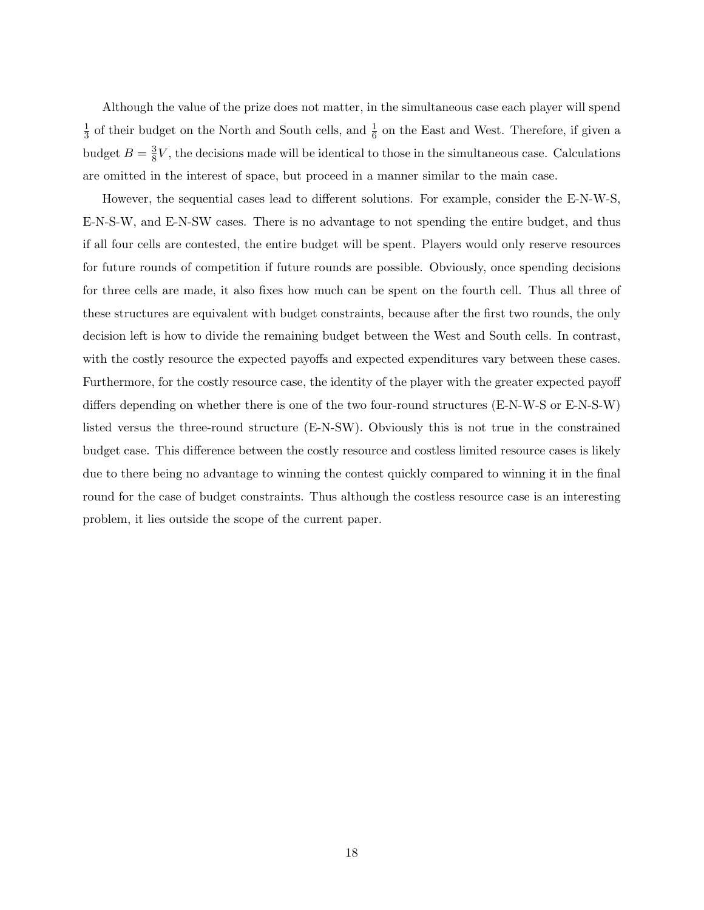Although the value of the prize does not matter, in the simultaneous case each player will spend 1  $\frac{1}{3}$  of their budget on the North and South cells, and  $\frac{1}{6}$  on the East and West. Therefore, if given a budget  $B=\frac{3}{8}$  $\frac{3}{8}V$ , the decisions made will be identical to those in the simultaneous case. Calculations are omitted in the interest of space, but proceed in a manner similar to the main case.

However, the sequential cases lead to different solutions. For example, consider the E-N-W-S, E-N-S-W, and E-N-SW cases. There is no advantage to not spending the entire budget, and thus if all four cells are contested, the entire budget will be spent. Players would only reserve resources for future rounds of competition if future rounds are possible. Obviously, once spending decisions for three cells are made, it also fixes how much can be spent on the fourth cell. Thus all three of these structures are equivalent with budget constraints, because after the first two rounds, the only decision left is how to divide the remaining budget between the West and South cells. In contrast, with the costly resource the expected payoffs and expected expenditures vary between these cases. Furthermore, for the costly resource case, the identity of the player with the greater expected payoff differs depending on whether there is one of the two four-round structures (E-N-W-S or E-N-S-W) listed versus the three-round structure (E-N-SW). Obviously this is not true in the constrained budget case. This difference between the costly resource and costless limited resource cases is likely due to there being no advantage to winning the contest quickly compared to winning it in the final round for the case of budget constraints. Thus although the costless resource case is an interesting problem, it lies outside the scope of the current paper.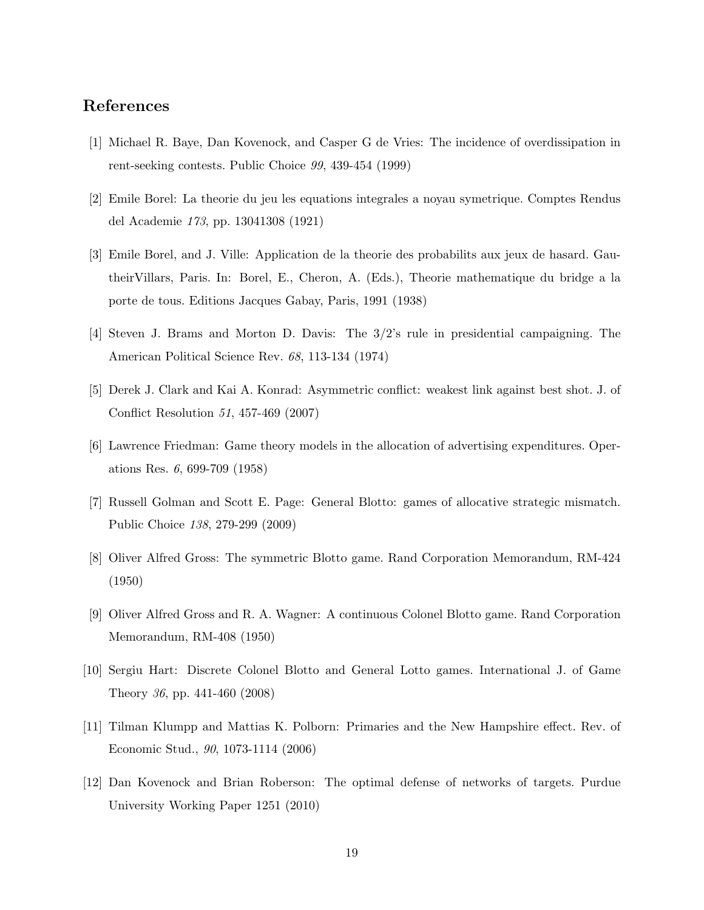# References

- [1] Michael R. Baye, Dan Kovenock, and Casper G de Vries: The incidence of overdissipation in rent-seeking contests. Public Choice 99, 439-454 (1999)
- [2] Emile Borel: La theorie du jeu les equations integrales a noyau symetrique. Comptes Rendus del Academie 173, pp. 13041308 (1921)
- [3] Emile Borel, and J. Ville: Application de la theorie des probabilits aux jeux de hasard. GautheirVillars, Paris. In: Borel, E., Cheron, A. (Eds.), Theorie mathematique du bridge a la porte de tous. Editions Jacques Gabay, Paris, 1991 (1938)
- [4] Steven J. Brams and Morton D. Davis: The 3/2's rule in presidential campaigning. The American Political Science Rev. 68, 113-134 (1974)
- [5] Derek J. Clark and Kai A. Konrad: Asymmetric conflict: weakest link against best shot. J. of Conflict Resolution 51, 457-469 (2007)
- [6] Lawrence Friedman: Game theory models in the allocation of advertising expenditures. Operations Res. 6, 699-709 (1958)
- [7] Russell Golman and Scott E. Page: General Blotto: games of allocative strategic mismatch. Public Choice 138, 279-299 (2009)
- [8] Oliver Alfred Gross: The symmetric Blotto game. Rand Corporation Memorandum, RM-424 (1950)
- [9] Oliver Alfred Gross and R. A. Wagner: A continuous Colonel Blotto game. Rand Corporation Memorandum, RM-408 (1950)
- [10] Sergiu Hart: Discrete Colonel Blotto and General Lotto games. International J. of Game Theory 36, pp. 441-460 (2008)
- [11] Tilman Klumpp and Mattias K. Polborn: Primaries and the New Hampshire effect. Rev. of Economic Stud., 90, 1073-1114 (2006)
- [12] Dan Kovenock and Brian Roberson: The optimal defense of networks of targets. Purdue University Working Paper 1251 (2010)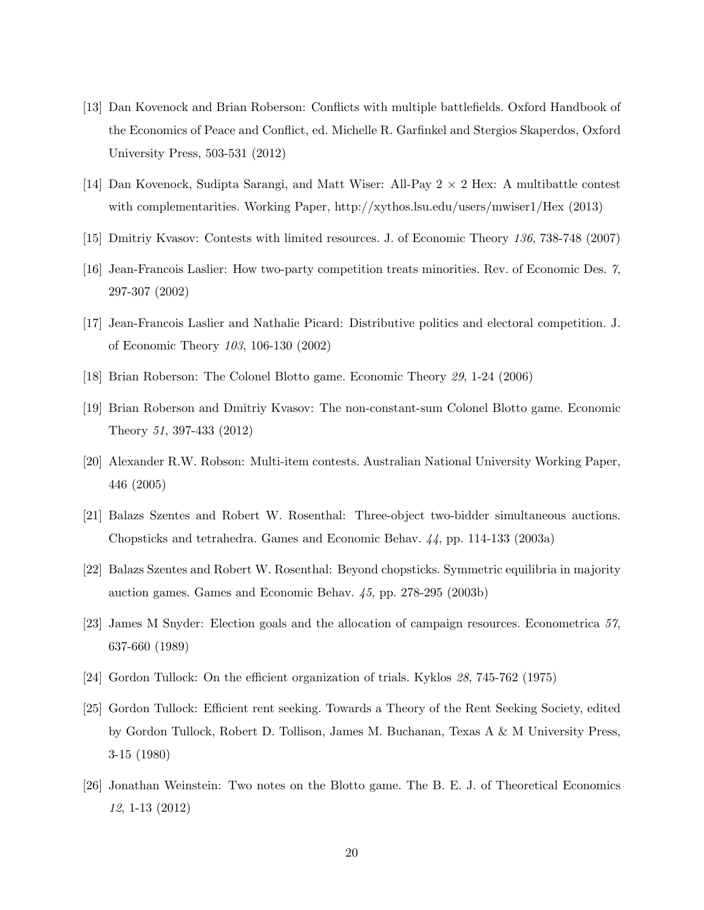- [13] Dan Kovenock and Brian Roberson: Conflicts with multiple battlefields. Oxford Handbook of the Economics of Peace and Conflict, ed. Michelle R. Garfinkel and Stergios Skaperdos, Oxford University Press, 503-531 (2012)
- [14] Dan Kovenock, Sudipta Sarangi, and Matt Wiser: All-Pay  $2 \times 2$  Hex: A multibattle contest with complementarities. Working Paper, http://xythos.lsu.edu/users/mwiser1/Hex (2013)
- [15] Dmitriy Kvasov: Contests with limited resources. J. of Economic Theory 136, 738-748 (2007)
- [16] Jean-Francois Laslier: How two-party competition treats minorities. Rev. of Economic Des. 7, 297-307 (2002)
- [17] Jean-Francois Laslier and Nathalie Picard: Distributive politics and electoral competition. J. of Economic Theory 103, 106-130 (2002)
- [18] Brian Roberson: The Colonel Blotto game. Economic Theory 29, 1-24 (2006)
- [19] Brian Roberson and Dmitriy Kvasov: The non-constant-sum Colonel Blotto game. Economic Theory 51, 397-433 (2012)
- [20] Alexander R.W. Robson: Multi-item contests. Australian National University Working Paper, 446 (2005)
- [21] Balazs Szentes and Robert W. Rosenthal: Three-object two-bidder simultaneous auctions. Chopsticks and tetrahedra. Games and Economic Behav. 44, pp. 114-133 (2003a)
- [22] Balazs Szentes and Robert W. Rosenthal: Beyond chopsticks. Symmetric equilibria in majority auction games. Games and Economic Behav. 45, pp. 278-295 (2003b)
- [23] James M Snyder: Election goals and the allocation of campaign resources. Econometrica 57, 637-660 (1989)
- [24] Gordon Tullock: On the efficient organization of trials. Kyklos 28, 745-762 (1975)
- [25] Gordon Tullock: Efficient rent seeking. Towards a Theory of the Rent Seeking Society, edited by Gordon Tullock, Robert D. Tollison, James M. Buchanan, Texas A & M University Press, 3-15 (1980)
- [26] Jonathan Weinstein: Two notes on the Blotto game. The B. E. J. of Theoretical Economics 12, 1-13 (2012)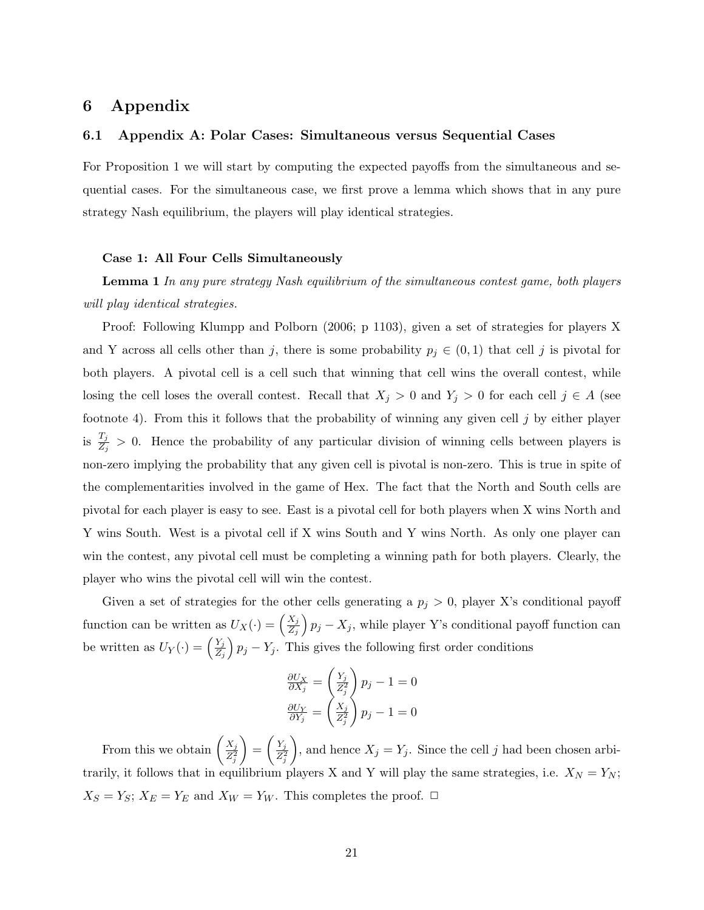# 6 Appendix

#### 6.1 Appendix A: Polar Cases: Simultaneous versus Sequential Cases

For Proposition 1 we will start by computing the expected payoffs from the simultaneous and sequential cases. For the simultaneous case, we first prove a lemma which shows that in any pure strategy Nash equilibrium, the players will play identical strategies.

#### Case 1: All Four Cells Simultaneously

Lemma 1 In any pure strategy Nash equilibrium of the simultaneous contest game, both players will play identical strategies.

Proof: Following Klumpp and Polborn (2006; p 1103), given a set of strategies for players X and Y across all cells other than j, there is some probability  $p_j \in (0,1)$  that cell j is pivotal for both players. A pivotal cell is a cell such that winning that cell wins the overall contest, while losing the cell loses the overall contest. Recall that  $X_j > 0$  and  $Y_j > 0$  for each cell  $j \in A$  (see footnote 4). From this it follows that the probability of winning any given cell  $j$  by either player is  $\frac{T_j}{Z_j} > 0$ . Hence the probability of any particular division of winning cells between players is non-zero implying the probability that any given cell is pivotal is non-zero. This is true in spite of the complementarities involved in the game of Hex. The fact that the North and South cells are pivotal for each player is easy to see. East is a pivotal cell for both players when X wins North and Y wins South. West is a pivotal cell if X wins South and Y wins North. As only one player can win the contest, any pivotal cell must be completing a winning path for both players. Clearly, the player who wins the pivotal cell will win the contest.

Given a set of strategies for the other cells generating a  $p_j > 0$ , player X's conditional payoff function can be written as  $U_X(\cdot) = \left(\frac{X_j}{Z_i}\right)$  $Z_j$  $p_j - X_j$ , while player Y's conditional payoff function can be written as  $U_Y(\cdot) = \left(\frac{Y_j}{Z_i}\right)$  $Z_j$  $(p_j - Y_j)$ . This gives the following first order conditions

$$
\frac{\partial U_X}{\partial X_j} = \left(\frac{Y_j}{Z_j^2}\right) p_j - 1 = 0
$$

$$
\frac{\partial U_Y}{\partial Y_j} = \left(\frac{X_j}{Z_j^2}\right) p_j - 1 = 0
$$

From this we obtain  $\left(\frac{X_j}{Z^2}\right)$  $Z_j^2$  $=\left(\frac{Y_j}{Z^2}\right)$  $\overline{Z_j^2}$ ), and hence  $X_j = Y_j$ . Since the cell j had been chosen arbitrarily, it follows that in equilibrium players X and Y will play the same strategies, i.e.  $X_N = Y_N$ ;  $X_S=Y_S;\,X_E=Y_E$  and  $X_W=Y_W.$  This completes the proof.  $\Box$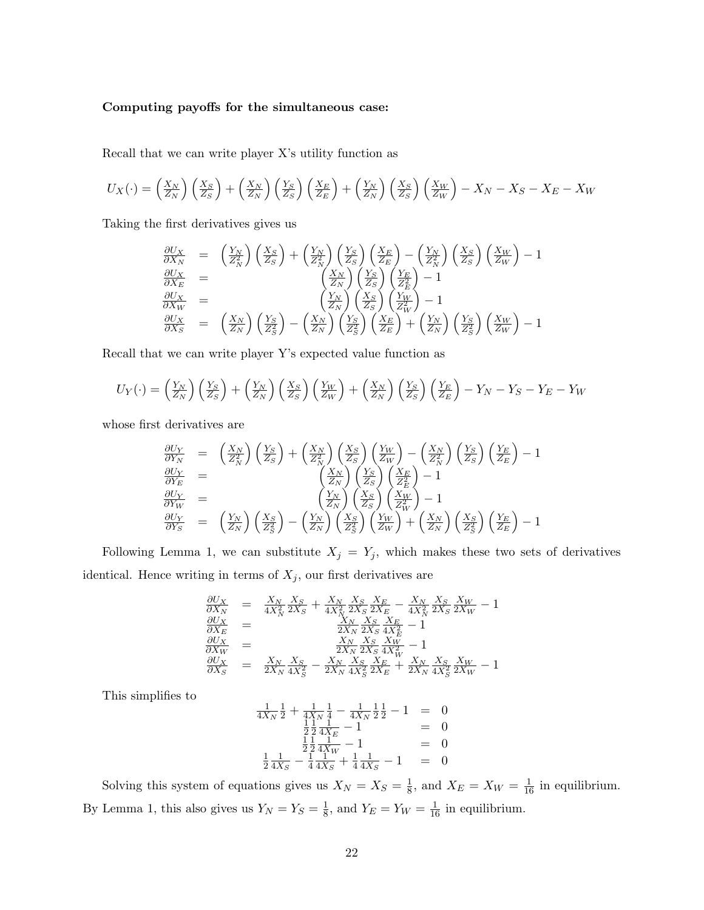### Computing payoffs for the simultaneous case:

Recall that we can write player X's utility function as

$$
U_X(\cdot) = \left(\frac{X_N}{Z_N}\right) \left(\frac{X_S}{Z_S}\right) + \left(\frac{X_N}{Z_N}\right) \left(\frac{Y_S}{Z_S}\right) \left(\frac{X_E}{Z_E}\right) + \left(\frac{Y_N}{Z_N}\right) \left(\frac{X_S}{Z_S}\right) \left(\frac{X_W}{Z_W}\right) - X_N - X_S - X_E - X_W
$$

Taking the first derivatives gives us

$$
\frac{\partial U_X}{\partial X_N} = \left(\frac{Y_N}{Z_N^2}\right) \left(\frac{X_S}{Z_S}\right) + \left(\frac{Y_N}{Z_N^2}\right) \left(\frac{Y_S}{Z_S}\right) \left(\frac{X_E}{Z_E}\right) - \left(\frac{Y_N}{Z_N^2}\right) \left(\frac{X_S}{Z_S}\right) \left(\frac{X_W}{Z_W}\right) - 1
$$
\n
$$
\frac{\partial U_X}{\partial X_E} = \left(\frac{X_N}{Z_N}\right) \left(\frac{Y_S}{Z_S}\right) \left(\frac{Y_S}{Z_S}\right) \left(\frac{Y_E}{Z_E}\right) - 1
$$
\n
$$
\frac{\partial U_X}{\partial X_N} = \left(\frac{X_N}{Z_N}\right) \left(\frac{Y_S}{Z_S^2}\right) - \left(\frac{X_N}{Z_N}\right) \left(\frac{Y_S}{Z_S^2}\right) \left(\frac{X_E}{Z_E}\right) + \left(\frac{Y_N}{Z_N}\right) \left(\frac{Y_S}{Z_S^2}\right) \left(\frac{X_W}{Z_W}\right) - 1
$$

Recall that we can write player Y's expected value function as

$$
U_Y(\cdot) = \left(\frac{Y_N}{Z_N}\right) \left(\frac{Y_S}{Z_S}\right) + \left(\frac{Y_N}{Z_N}\right) \left(\frac{X_S}{Z_S}\right) \left(\frac{Y_W}{Z_W}\right) + \left(\frac{X_N}{Z_N}\right) \left(\frac{Y_S}{Z_S}\right) \left(\frac{Y_E}{Z_E}\right) - Y_N - Y_S - Y_E - Y_W
$$

whose first derivatives are

$$
\frac{\partial U_Y}{\partial Y_N} = \left(\frac{X_N}{Z_N^2}\right) \left(\frac{Y_S}{Z_S}\right) + \left(\frac{X_N}{Z_N^2}\right) \left(\frac{X_S}{Z_S}\right) \left(\frac{Y_W}{Z_W}\right) - \left(\frac{X_N}{Z_N^2}\right) \left(\frac{Y_S}{Z_S}\right) \left(\frac{Y_E}{Z_E}\right) - 1
$$
\n
$$
\frac{\partial U_Y}{\partial Y_W} = \left(\frac{Y_N}{Z_N}\right) \left(\frac{X_S}{Z_S}\right) \left(\frac{X_S}{Z_S}\right) \left(\frac{X_W}{Z_W^2}\right) - 1
$$
\n
$$
\frac{\partial U_Y}{\partial Y_S} = \left(\frac{Y_N}{Z_N}\right) \left(\frac{X_S}{Z_S^2}\right) - \left(\frac{Y_N}{Z_N}\right) \left(\frac{X_S}{Z_S^2}\right) \left(\frac{Y_W}{Z_W}\right) + \left(\frac{X_N}{Z_N}\right) \left(\frac{X_S}{Z_S^2}\right) \left(\frac{Y_E}{Z_E}\right) - 1
$$

Following Lemma 1, we can substitute  $X_j = Y_j$ , which makes these two sets of derivatives identical. Hence writing in terms of  $X_j$ , our first derivatives are

$$
\frac{\partial U_X}{\partial X_N} = \frac{X_N}{4X_N^2} \frac{X_S}{2X_S} + \frac{X_N}{4X_N^2} \frac{X_S}{2X_S} \frac{X_E}{2X_E} - \frac{X_N}{4X_N^2} \frac{X_S}{2X_S} \frac{X_W}{2X_W} - 1
$$
\n
$$
\frac{\partial U_X}{\partial X_E} = \frac{X_N}{2X_N} \frac{X_S}{2X_S} \frac{X_E}{4X_E^2} - 1
$$
\n
$$
\frac{\partial U_X}{\partial X_W} = \frac{X_N}{2X_N} \frac{X_S}{2X_S} \frac{X_W}{4X_W^2} - 1
$$
\n
$$
\frac{\partial U_X}{\partial X_S} = \frac{X_N}{2X_N} \frac{X_S}{4X_S^2} - \frac{X_N}{2X_N} \frac{X_S}{4X_S^2} \frac{X_E}{2X_E} + \frac{X_N}{2X_N} \frac{X_S}{4X_S^2} \frac{X_W}{2X_W} - 1
$$

This simplifies to

$$
\frac{1}{4X_N} \frac{1}{2} + \frac{1}{4X_N} \frac{1}{4} - \frac{1}{4X_N} \frac{1}{2} - 1 = 0
$$
  

$$
\frac{1}{2} \frac{1}{2} \frac{1}{4X_E} - 1 = 0
$$
  

$$
\frac{1}{2} \frac{1}{2} \frac{1}{4X_W} - 1 = 0
$$
  

$$
\frac{1}{2} \frac{1}{4X_S} - \frac{1}{4} \frac{1}{4X_S} + \frac{1}{4} \frac{1}{4X_S} - 1 = 0
$$

Solving this system of equations gives us  $X_N = X_S = \frac{1}{8}$  $\frac{1}{8}$ , and  $X_E = X_W = \frac{1}{16}$  in equilibrium. By Lemma 1, this also gives us  $Y_N = Y_S = \frac{1}{8}$  $\frac{1}{8}$ , and  $Y_E = Y_W = \frac{1}{16}$  in equilibrium.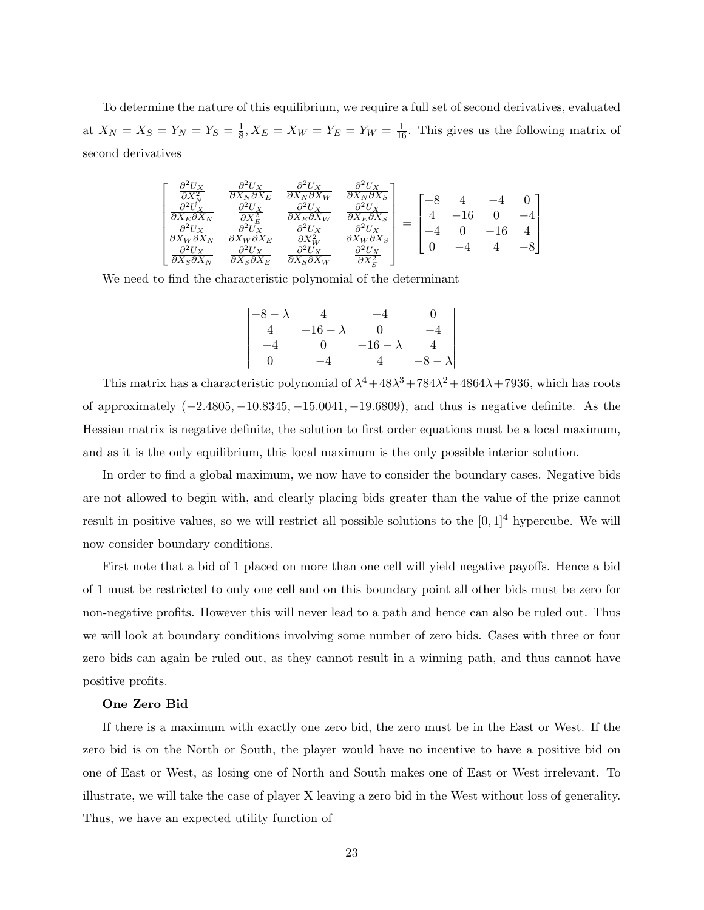To determine the nature of this equilibrium, we require a full set of second derivatives, evaluated at  $X_N = X_S = Y_N = Y_S = \frac{1}{8}$  $\frac{1}{8}$ ,  $X_E = X_W = Y_E = Y_W = \frac{1}{16}$ . This gives us the following matrix of second derivatives

$$
\begin{bmatrix}\n\frac{\partial^2 U_X}{\partial X_N^2} & \frac{\partial^2 U_X}{\partial X_N \partial X_E} & \frac{\partial^2 U_X}{\partial X_N \partial X_W} & \frac{\partial^2 U_X}{\partial X_N \partial X_S} \\
\frac{\partial^2 U_X}{\partial X_E \partial X_N} & \frac{\partial^2 U_X}{\partial X_E^2} & \frac{\partial^2 U_X}{\partial X_E \partial X_W} & \frac{\partial^2 U_X}{\partial X_E \partial X_S} \\
\frac{\partial^2 U_X}{\partial X_W \partial X_N} & \frac{\partial^2 U_X}{\partial X_W \partial X_E} & \frac{\partial^2 U_X}{\partial X_W^2} & \frac{\partial^2 U_X}{\partial X_W \partial X_S} \\
\frac{\partial^2 U_X}{\partial X_S \partial X_N} & \frac{\partial^2 U_X}{\partial X_S \partial X_E} & \frac{\partial^2 U_X}{\partial X_S \partial X_W} & \frac{\partial^2 U_X}{\partial X_S^2}\n\end{bmatrix} = \begin{bmatrix}\n-8 & 4 & -4 & 0 \\
4 & -16 & 0 & -4 \\
-4 & 0 & -16 & 4 \\
0 & -4 & 4 & -8\n\end{bmatrix}
$$

We need to find the characteristic polynomial of the determinant

$$
\begin{vmatrix}\n-8-\lambda & 4 & -4 & 0 \\
4 & -16-\lambda & 0 & -4 \\
-4 & 0 & -16-\lambda & 4 \\
0 & -4 & 4 & -8-\lambda\n\end{vmatrix}
$$

This matrix has a characteristic polynomial of  $\lambda^4 + 48\lambda^3 + 784\lambda^2 + 4864\lambda + 7936$ , which has roots of approximately (−2.4805, −10.8345, −15.0041, −19.6809), and thus is negative definite. As the Hessian matrix is negative definite, the solution to first order equations must be a local maximum, and as it is the only equilibrium, this local maximum is the only possible interior solution.

In order to find a global maximum, we now have to consider the boundary cases. Negative bids are not allowed to begin with, and clearly placing bids greater than the value of the prize cannot result in positive values, so we will restrict all possible solutions to the  $[0, 1]^4$  hypercube. We will now consider boundary conditions.

First note that a bid of 1 placed on more than one cell will yield negative payoffs. Hence a bid of 1 must be restricted to only one cell and on this boundary point all other bids must be zero for non-negative profits. However this will never lead to a path and hence can also be ruled out. Thus we will look at boundary conditions involving some number of zero bids. Cases with three or four zero bids can again be ruled out, as they cannot result in a winning path, and thus cannot have positive profits.

#### One Zero Bid

If there is a maximum with exactly one zero bid, the zero must be in the East or West. If the zero bid is on the North or South, the player would have no incentive to have a positive bid on one of East or West, as losing one of North and South makes one of East or West irrelevant. To illustrate, we will take the case of player X leaving a zero bid in the West without loss of generality. Thus, we have an expected utility function of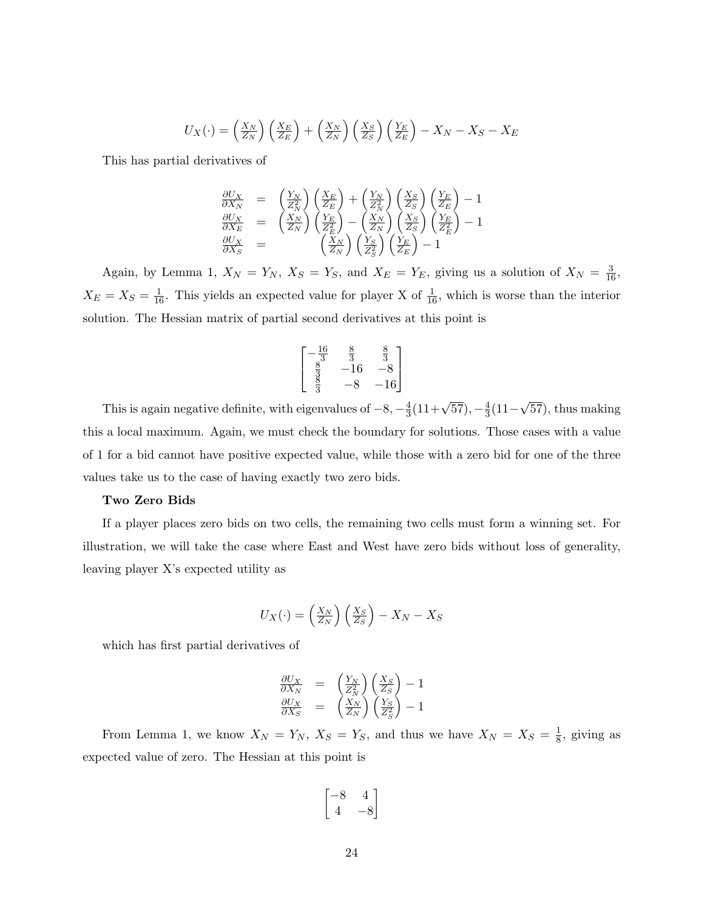$$
U_X(\cdot) = \left(\frac{X_N}{Z_N}\right) \left(\frac{X_E}{Z_E}\right) + \left(\frac{X_N}{Z_N}\right) \left(\frac{X_S}{Z_S}\right) \left(\frac{Y_E}{Z_E}\right) - X_N - X_S - X_E
$$

This has partial derivatives of

$$
\begin{array}{rcl}\n\frac{\partial U_X}{\partial X_N} & = & \left(\frac{Y_N}{Z_N^2}\right) \left(\frac{X_E}{Z_E}\right) + \left(\frac{Y_N}{Z_N^2}\right) \left(\frac{X_S}{Z_S}\right) \left(\frac{Y_E}{Z_E}\right) - 1 \\
\frac{\partial U_X}{\partial X_E} & = & \left(\frac{X_N}{Z_N}\right) \left(\frac{Y_E}{Z_E^2}\right) - \left(\frac{X_N}{Z_N}\right) \left(\frac{X_S}{Z_S}\right) \left(\frac{Y_E}{Z_E^2}\right) - 1 \\
\frac{\partial U_X}{\partial X_S} & = & \left(\frac{X_N}{Z_N}\right) \left(\frac{Y_S}{Z_S^2}\right) \left(\frac{Y_E}{Z_E}\right) - 1\n\end{array}
$$

Again, by Lemma 1,  $X_N = Y_N$ ,  $X_S = Y_S$ , and  $X_E = Y_E$ , giving us a solution of  $X_N = \frac{3}{16}$ ,  $X_E = X_S = \frac{1}{16}$ . This yields an expected value for player X of  $\frac{1}{16}$ , which is worse than the interior solution. The Hessian matrix of partial second derivatives at this point is

$$
\begin{bmatrix} -\frac{16}{3} & \frac{8}{3} & \frac{8}{3} \\ \frac{8}{3} & -16 & -8 \\ \frac{8}{3} & -8 & -16 \end{bmatrix}
$$

This is again negative definite, with eigenvalues of  $-8, -\frac{4}{3}$  $\frac{4}{3}(11+\sqrt{57}), -\frac{4}{3}$  $\frac{4}{3}(11-$ √ 57), thus making this a local maximum. Again, we must check the boundary for solutions. Those cases with a value of 1 for a bid cannot have positive expected value, while those with a zero bid for one of the three values take us to the case of having exactly two zero bids.

#### Two Zero Bids

If a player places zero bids on two cells, the remaining two cells must form a winning set. For illustration, we will take the case where East and West have zero bids without loss of generality, leaving player X's expected utility as

$$
U_X(\cdot) = \left(\frac{X_N}{Z_N}\right) \left(\frac{X_S}{Z_S}\right) - X_N - X_S
$$

which has first partial derivatives of

$$
\frac{\partial U_X}{\partial X_N} = \begin{pmatrix} Y_N \\ Z_N^2 \end{pmatrix} \begin{pmatrix} X_S \\ Z_S \end{pmatrix} - 1
$$

$$
\frac{\partial U_X}{\partial X_S} = \begin{pmatrix} X_N \\ Z_N \end{pmatrix} \begin{pmatrix} Y_S \\ Z_S^2 \end{pmatrix} - 1
$$

From Lemma 1, we know  $X_N = Y_N$ ,  $X_S = Y_S$ , and thus we have  $X_N = X_S = \frac{1}{8}$  $\frac{1}{8}$ , giving as expected value of zero. The Hessian at this point is

$$
\begin{bmatrix} -8 & 4 \\ 4 & -8 \end{bmatrix}
$$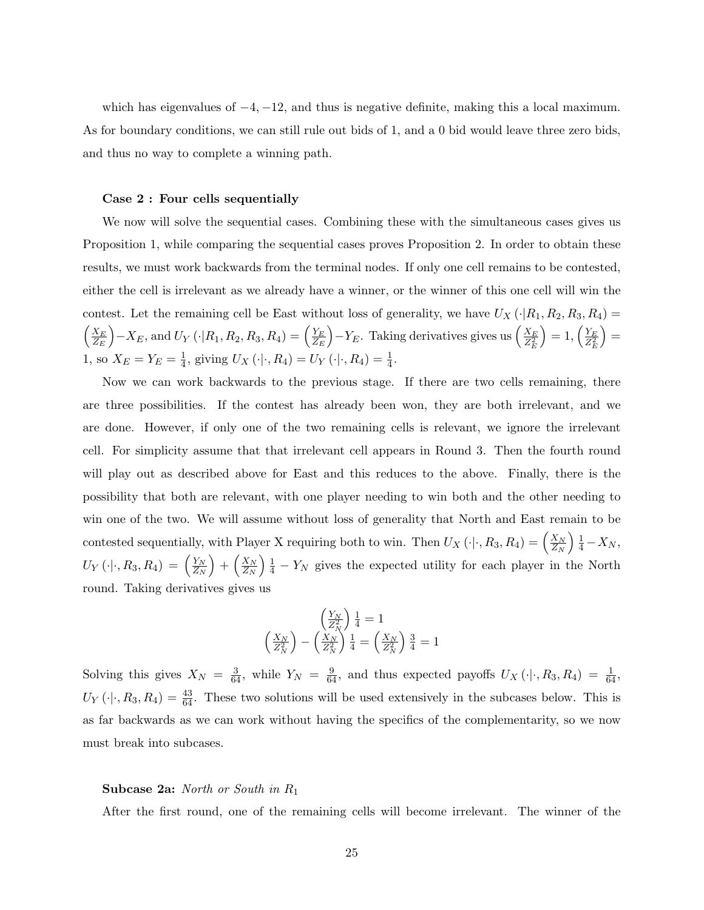which has eigenvalues of  $-4$ ,  $-12$ , and thus is negative definite, making this a local maximum. As for boundary conditions, we can still rule out bids of 1, and a 0 bid would leave three zero bids, and thus no way to complete a winning path.

#### Case 2 : Four cells sequentially

We now will solve the sequential cases. Combining these with the simultaneous cases gives us Proposition 1, while comparing the sequential cases proves Proposition 2. In order to obtain these results, we must work backwards from the terminal nodes. If only one cell remains to be contested, either the cell is irrelevant as we already have a winner, or the winner of this one cell will win the contest. Let the remaining cell be East without loss of generality, we have  $U_X(\cdot|R_1, R_2, R_3, R_4)$  =  $\sqrt{X_E}$  $Z_E$  $\Big(-X_E$ , and  $U_Y(\cdot|R_1, R_2, R_3, R_4) = \Big(\frac{Y_E}{Z_E} \Big)$  $Z_E$  $\big) - Y_E$ . Taking derivatives gives us  $\left(\frac{X_E}{Z^2}\right)$  $Z^2_E$  $= 1, \left(\frac{Y_E}{Z^2}\right)$  $Z_E^2$  $=$ 1, so  $X_E = Y_E = \frac{1}{4}$  $\frac{1}{4}$ , giving  $U_X(\cdot | \cdot, R_4) = U_Y(\cdot | \cdot, R_4) = \frac{1}{4}$ .

Now we can work backwards to the previous stage. If there are two cells remaining, there are three possibilities. If the contest has already been won, they are both irrelevant, and we are done. However, if only one of the two remaining cells is relevant, we ignore the irrelevant cell. For simplicity assume that that irrelevant cell appears in Round 3. Then the fourth round will play out as described above for East and this reduces to the above. Finally, there is the possibility that both are relevant, with one player needing to win both and the other needing to win one of the two. We will assume without loss of generality that North and East remain to be contested sequentially, with Player X requiring both to win. Then  $U_X(\cdot|\cdot, R_3, R_4) = \left(\frac{X_N}{Z_N}\right)^{1/2}$  $Z_N$  $\Big) \frac{1}{4} - X_N,$  $U_Y\left(\cdot|\cdot,R_3,R_4\right) \,=\, \left(\frac{Y_N}{Z_N}\right)$  $\overline{Z_N}$  $+\left(\frac{X_N}{Z_N}\right)$  $Z_N$  $\frac{1}{4} - Y_N$  gives the expected utility for each player in the North round. Taking derivatives gives us

$$
\begin{pmatrix} \frac{Y_N}{Z_N^2} \end{pmatrix} \frac{1}{4} = 1
$$

$$
\begin{pmatrix} \frac{X_N}{Z_N^2} \end{pmatrix} - \begin{pmatrix} \frac{X_N}{Z_N^2} \end{pmatrix} \frac{1}{4} = \begin{pmatrix} \frac{X_N}{Z_N^2} \end{pmatrix} \frac{3}{4} = 1
$$

Solving this gives  $X_N = \frac{3}{64}$ , while  $Y_N = \frac{9}{64}$ , and thus expected payoffs  $U_X(\cdot | \cdot, R_3, R_4) = \frac{1}{64}$ ,  $U_Y(\cdot|\cdot, R_3, R_4) = \frac{43}{64}$ . These two solutions will be used extensively in the subcases below. This is as far backwards as we can work without having the specifics of the complementarity, so we now must break into subcases.

#### Subcase 2a: North or South in  $R_1$

After the first round, one of the remaining cells will become irrelevant. The winner of the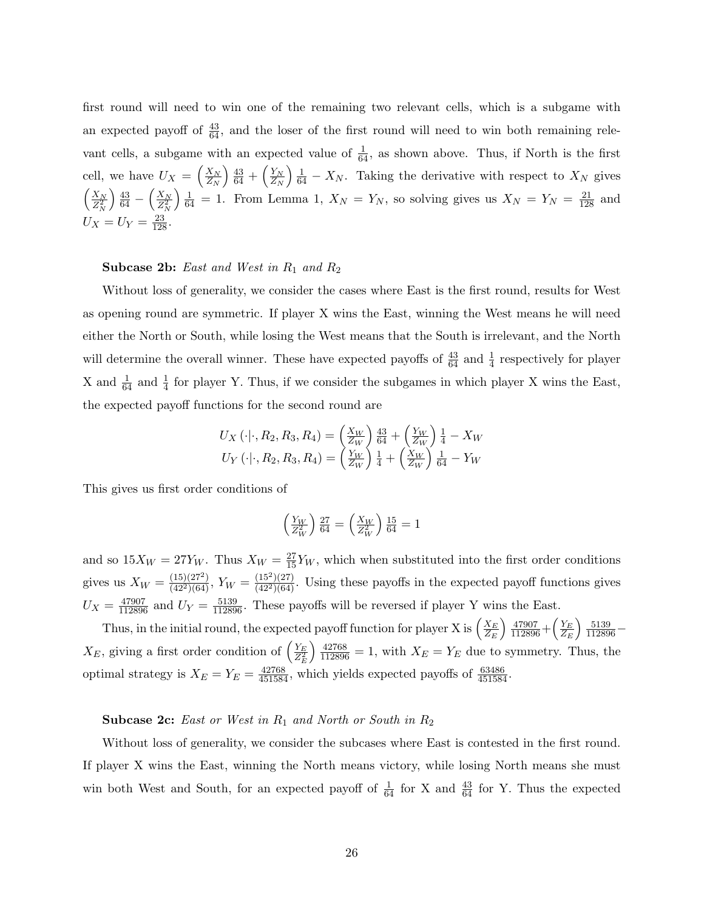first round will need to win one of the remaining two relevant cells, which is a subgame with an expected payoff of  $\frac{43}{64}$ , and the loser of the first round will need to win both remaining relevant cells, a subgame with an expected value of  $\frac{1}{64}$ , as shown above. Thus, if North is the first cell, we have  $U_X = \left(\frac{X_N}{Z_N}\right)$  $Z_N$  $\frac{43}{64} + \left(\frac{Y_N}{Z_N}\right)$  $Z_N$  $\frac{1}{64} - X_N$ . Taking the derivative with respect to  $X_N$  gives  $\sqrt{\frac{X_N}{X_N}}$  $\overline{Z_N^2}$  $\frac{43}{64} - \left(\frac{X_N}{Z_M^2}\right)$  $\overline{Z_N^2}$  $\frac{1}{64}$  = 1. From Lemma 1,  $X_N = Y_N$ , so solving gives us  $X_N = Y_N = \frac{21}{128}$  and  $U_X = U_Y = \frac{23}{128}.$ 

#### Subcase 2b: East and West in  $R_1$  and  $R_2$

Without loss of generality, we consider the cases where East is the first round, results for West as opening round are symmetric. If player X wins the East, winning the West means he will need either the North or South, while losing the West means that the South is irrelevant, and the North will determine the overall winner. These have expected payoffs of  $\frac{43}{64}$  and  $\frac{1}{4}$  respectively for player X and  $\frac{1}{64}$  and  $\frac{1}{4}$  for player Y. Thus, if we consider the subgames in which player X wins the East, the expected payoff functions for the second round are

$$
U_X (\cdot | \cdot, R_2, R_3, R_4) = \left(\frac{X_W}{Z_W}\right) \frac{43}{64} + \left(\frac{Y_W}{Z_W}\right) \frac{1}{4} - X_W
$$
  

$$
U_Y (\cdot | \cdot, R_2, R_3, R_4) = \left(\frac{Y_W}{Z_W}\right) \frac{1}{4} + \left(\frac{X_W}{Z_W}\right) \frac{1}{64} - Y_W
$$

This gives us first order conditions of

$$
\left(\frac{Y_W}{Z_W^2}\right)\frac{27}{64} = \left(\frac{X_W}{Z_W^2}\right)\frac{15}{64} = 1
$$

and so  $15X_W = 27Y_W$ . Thus  $X_W = \frac{27}{15}Y_W$ , which when substituted into the first order conditions gives us  $X_W = \frac{(15)(27^2)}{(42^2)(64)}$ ,  $Y_W = \frac{(15^2)(27)}{(42^2)(64)}$ . Using these payoffs in the expected payoff functions gives  $U_X = \frac{47907}{112896}$  and  $U_Y = \frac{5139}{112896}$ . These payoffs will be reversed if player Y wins the East.

Thus, in the initial round, the expected payoff function for player X is  $\left(\frac{X_E}{Z_E}\right)$  $Z_E$  $\frac{47907}{112896} + \left(\frac{Y_E}{Z_E}\right)$  $Z_E$  $\frac{5139}{112896}$  –  $X_E$ , giving a first order condition of  $\left(\frac{Y_E}{Z^2}\right)$  $Z_E^2$  $\left( \frac{42768}{112896} = 1, \text{ with } X_E = Y_E \text{ due to symmetry. Thus, the } \right)$ optimal strategy is  $X_E = Y_E = \frac{42768}{451584}$ , which yields expected payoffs of  $\frac{63486}{451584}$ .

# Subcase 2c: East or West in  $R_1$  and North or South in  $R_2$

Without loss of generality, we consider the subcases where East is contested in the first round. If player X wins the East, winning the North means victory, while losing North means she must win both West and South, for an expected payoff of  $\frac{1}{64}$  for X and  $\frac{43}{64}$  for Y. Thus the expected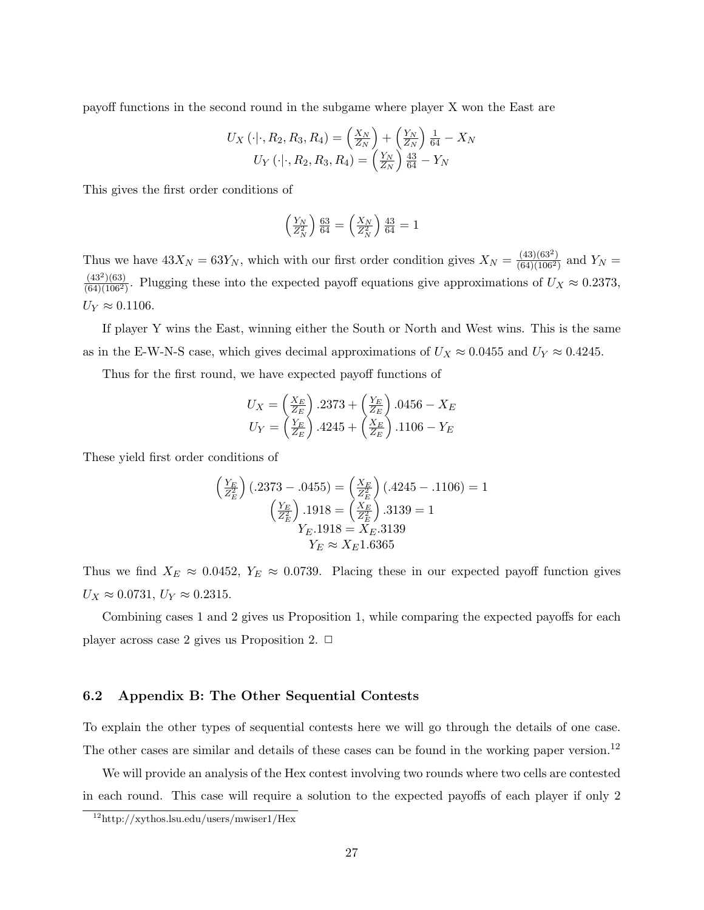payoff functions in the second round in the subgame where player X won the East are

$$
U_X(\cdot|\cdot, R_2, R_3, R_4) = \left(\frac{X_N}{Z_N}\right) + \left(\frac{Y_N}{Z_N}\right) \frac{1}{64} - X_N
$$
  

$$
U_Y(\cdot|\cdot, R_2, R_3, R_4) = \left(\frac{Y_N}{Z_N}\right) \frac{43}{64} - Y_N
$$

This gives the first order conditions of

$$
\left(\frac{Y_N}{Z_N^2}\right)\frac{63}{64}=\left(\frac{X_N}{Z_N^2}\right)\frac{43}{64}=1
$$

Thus we have  $43X_N = 63Y_N$ , which with our first order condition gives  $X_N = \frac{(43)(63^2)}{(64)(106^2)}$  $\frac{(43)(63^{2})}{(64)(106^{2})}$  and  $Y_{N} =$  $(43^2)(63)$  $\frac{(435)(03)}{(64)(106^2)}$ . Plugging these into the expected payoff equations give approximations of  $U_X \approx 0.2373$ ,  $U_Y \approx 0.1106$ .

If player Y wins the East, winning either the South or North and West wins. This is the same as in the E-W-N-S case, which gives decimal approximations of  $U_X \approx 0.0455$  and  $U_Y \approx 0.4245$ .

Thus for the first round, we have expected payoff functions of

$$
U_X = \left(\frac{X_E}{Z_E}\right).2373 + \left(\frac{Y_E}{Z_E}\right).0456 - X_E
$$

$$
U_Y = \left(\frac{Y_E}{Z_E}\right).4245 + \left(\frac{X_E}{Z_E}\right).1106 - Y_E
$$

These yield first order conditions of

$$
\left(\frac{Y_E}{Z_E^2}\right)(.2373 - .0455) = \left(\frac{X_E}{Z_E^2}\right)(.4245 - .1106) = 1
$$

$$
\left(\frac{Y_E}{Z_E^2}\right).1918 = \left(\frac{X_E}{Z_E^2}\right).3139 = 1
$$

$$
Y_E.1918 = X_E.3139
$$

$$
Y_E \approx X_E 1.6365
$$

Thus we find  $X_E \approx 0.0452$ ,  $Y_E \approx 0.0739$ . Placing these in our expected payoff function gives  $U_X \approx 0.0731, U_Y \approx 0.2315.$ 

Combining cases 1 and 2 gives us Proposition 1, while comparing the expected payoffs for each player across case 2 gives us Proposition 2.  $\Box$ 

#### 6.2 Appendix B: The Other Sequential Contests

To explain the other types of sequential contests here we will go through the details of one case. The other cases are similar and details of these cases can be found in the working paper version.<sup>12</sup>

We will provide an analysis of the Hex contest involving two rounds where two cells are contested in each round. This case will require a solution to the expected payoffs of each player if only 2

<sup>12</sup>http://xythos.lsu.edu/users/mwiser1/Hex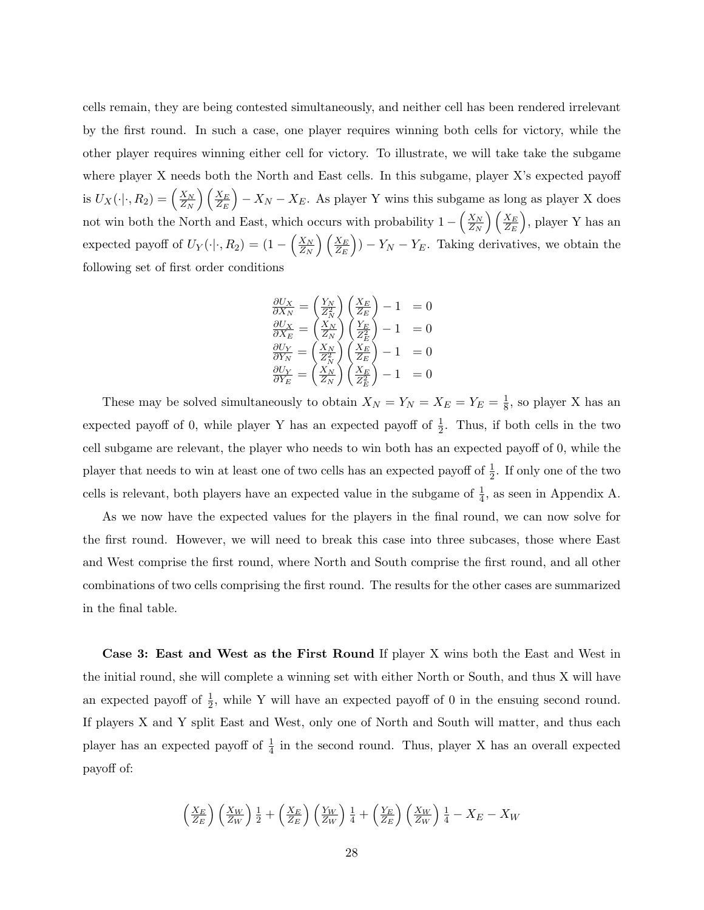cells remain, they are being contested simultaneously, and neither cell has been rendered irrelevant by the first round. In such a case, one player requires winning both cells for victory, while the other player requires winning either cell for victory. To illustrate, we will take take the subgame where player X needs both the North and East cells. In this subgame, player X's expected payoff is  $U_X(\cdot|\cdot, R_2) = \left(\frac{X_N}{Z_N}\right)$  $Z_N$  $\bigwedge_{\alpha}$  $Z_E$  $(-X_N - X_E)$ . As player Y wins this subgame as long as player X does not win both the North and East, which occurs with probability  $1 - \left(\frac{X_N}{Z_N}\right)^2$  $\overline{Z_N}$  $\bigwedge \frac{X_E}{E}$  $Z_E$  , player Y has an expected payoff of  $U_Y(\cdot|\cdot, R_2) = (1 - \left(\frac{X_N}{Z_N}\right))$  $Z_N$  $\bigwedge \frac{X_E}{E}$  $Z_E$  $() - Y_N - Y_E$ . Taking derivatives, we obtain the following set of first order conditions

$$
\frac{\partial U_X}{\partial X_N} = \left(\frac{Y_N}{Z_N^2}\right) \left(\frac{X_E}{Z_E}\right) - 1 = 0
$$
  

$$
\frac{\partial U_X}{\partial X_E} = \left(\frac{X_N}{Z_N}\right) \left(\frac{Y_E}{Z_E^2}\right) - 1 = 0
$$
  

$$
\frac{\partial U_Y}{\partial Y_N} = \left(\frac{X_N}{Z_N^2}\right) \left(\frac{X_E}{Z_E}\right) - 1 = 0
$$
  

$$
\frac{\partial U_Y}{\partial Y_E} = \left(\frac{X_N}{Z_N}\right) \left(\frac{X_E}{Z_E^2}\right) - 1 = 0
$$

These may be solved simultaneously to obtain  $X_N = Y_N = X_E = Y_E = \frac{1}{8}$  $\frac{1}{8}$ , so player X has an expected payoff of 0, while player Y has an expected payoff of  $\frac{1}{2}$ . Thus, if both cells in the two cell subgame are relevant, the player who needs to win both has an expected payoff of 0, while the player that needs to win at least one of two cells has an expected payoff of  $\frac{1}{2}$ . If only one of the two cells is relevant, both players have an expected value in the subgame of  $\frac{1}{4}$ , as seen in Appendix A.

As we now have the expected values for the players in the final round, we can now solve for the first round. However, we will need to break this case into three subcases, those where East and West comprise the first round, where North and South comprise the first round, and all other combinations of two cells comprising the first round. The results for the other cases are summarized in the final table.

Case 3: East and West as the First Round If player X wins both the East and West in the initial round, she will complete a winning set with either North or South, and thus X will have an expected payoff of  $\frac{1}{2}$ , while Y will have an expected payoff of 0 in the ensuing second round. If players X and Y split East and West, only one of North and South will matter, and thus each player has an expected payoff of  $\frac{1}{4}$  in the second round. Thus, player X has an overall expected payoff of:

$$
\left(\frac{X_E}{Z_E}\right)\left(\frac{X_W}{Z_W}\right)\frac{1}{2} + \left(\frac{X_E}{Z_E}\right)\left(\frac{Y_W}{Z_W}\right)\frac{1}{4} + \left(\frac{Y_E}{Z_E}\right)\left(\frac{X_W}{Z_W}\right)\frac{1}{4} - X_E - X_W
$$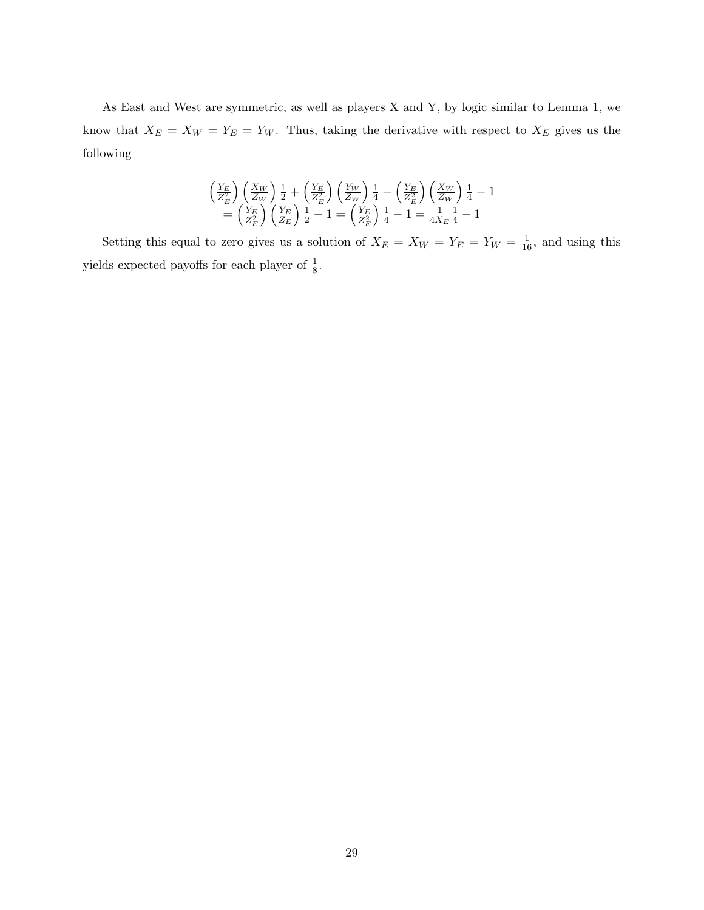As East and West are symmetric, as well as players X and Y, by logic similar to Lemma 1, we know that  $X_E = X_W = Y_E = Y_W$ . Thus, taking the derivative with respect to  $X_E$  gives us the following

$$
\begin{aligned}\n\left(\frac{Y_E}{Z_E^2}\right) \left(\frac{X_W}{Z_W}\right) \frac{1}{2} + \left(\frac{Y_E}{Z_E^2}\right) \left(\frac{Y_W}{Z_W}\right) \frac{1}{4} - \left(\frac{Y_E}{Z_E^2}\right) \left(\frac{X_W}{Z_W}\right) \frac{1}{4} - 1 \\
&= \left(\frac{Y_E}{Z_E^2}\right) \left(\frac{Y_E}{Z_E}\right) \frac{1}{2} - 1 = \left(\frac{Y_E}{Z_E^2}\right) \frac{1}{4} - 1 = \frac{1}{4X_E} \frac{1}{4} - 1\n\end{aligned}
$$

Setting this equal to zero gives us a solution of  $X_E = X_W = Y_E = Y_W = \frac{1}{16}$ , and using this yields expected payoffs for each player of  $\frac{1}{8}$ .